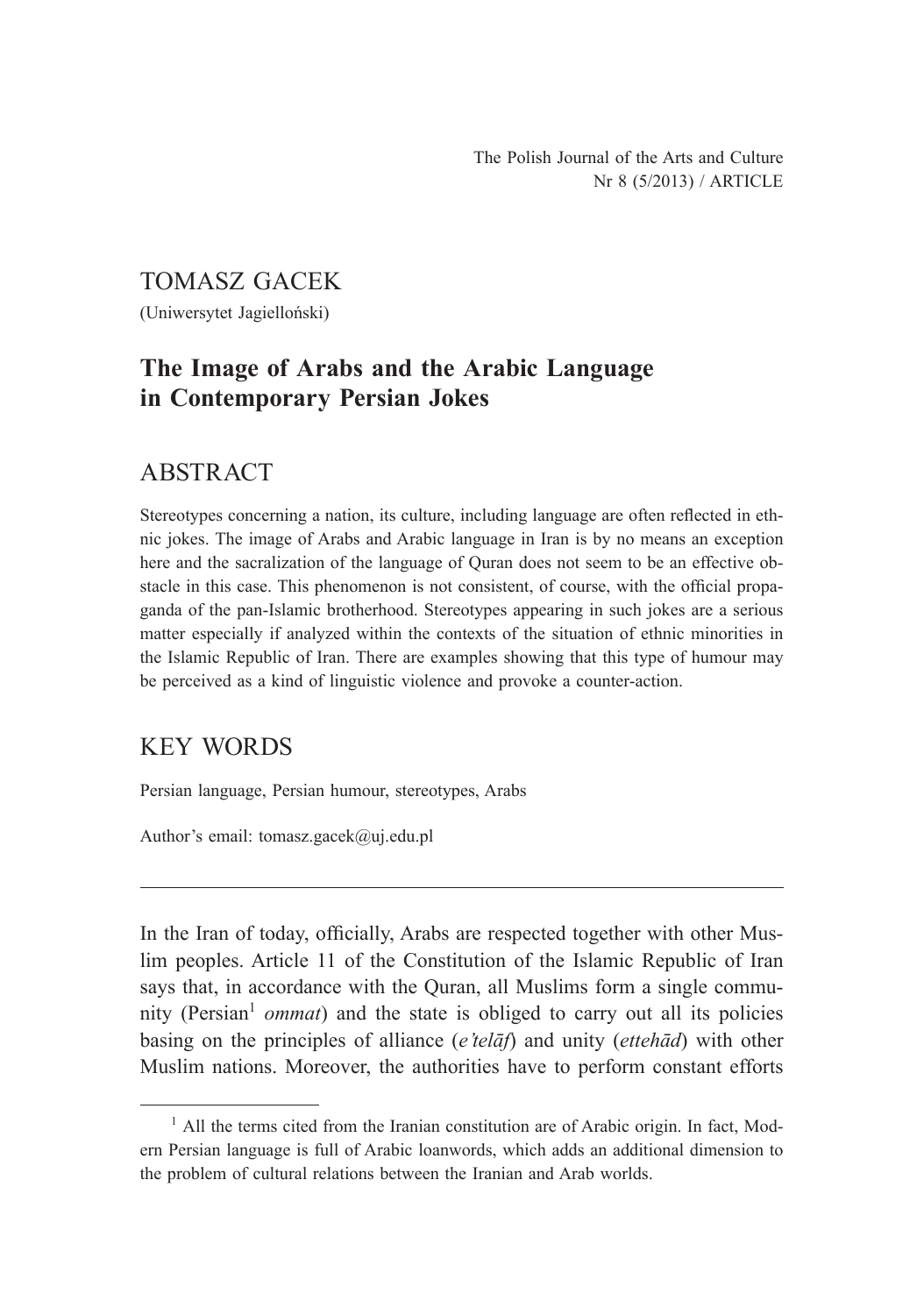#### TOMASZ GACEK

(Uniwersytet Jagielloński)

# **The Image of Arabs and the Arabic Language in Contemporary Persian Jokes**

## ABSTRACT

Stereotypes concerning a nation, its culture, including language are often reflected in ethnic jokes. The image of Arabs and Arabic language in Iran is by no means an exception here and the sacralization of the language of Quran does not seem to be an effective obstacle in this case. This phenomenon is not consistent, of course, with the official propaganda of the pan-Islamic brotherhood. Stereotypes appearing in such jokes are a serious matter especially if analyzed within the contexts of the situation of ethnic minorities in the Islamic Republic of Iran. There are examples showing that this type of humour may be perceived as a kind of linguistic violence and provoke a counter-action.

### KEY WORDS

Persian language, Persian humour, stereotypes, Arabs

Author's email: tomasz.gacek@uj.edu.pl

In the Iran of today, officially, Arabs are respected together with other Muslim peoples. Article 11 of the Constitution of the Islamic Republic of Iran says that, in accordance with the Quran, all Muslims form a single community (Persian<sup>1</sup> *ommat*) and the state is obliged to carry out all its policies basing on the principles of alliance (*e'telāf*) and unity (*ettehād*) with other Muslim nations. Moreover, the authorities have to perform constant efforts

<sup>&</sup>lt;sup>1</sup> All the terms cited from the Iranian constitution are of Arabic origin. In fact, Modern Persian language is full of Arabic loanwords, which adds an additional dimension to the problem of cultural relations between the Iranian and Arab worlds.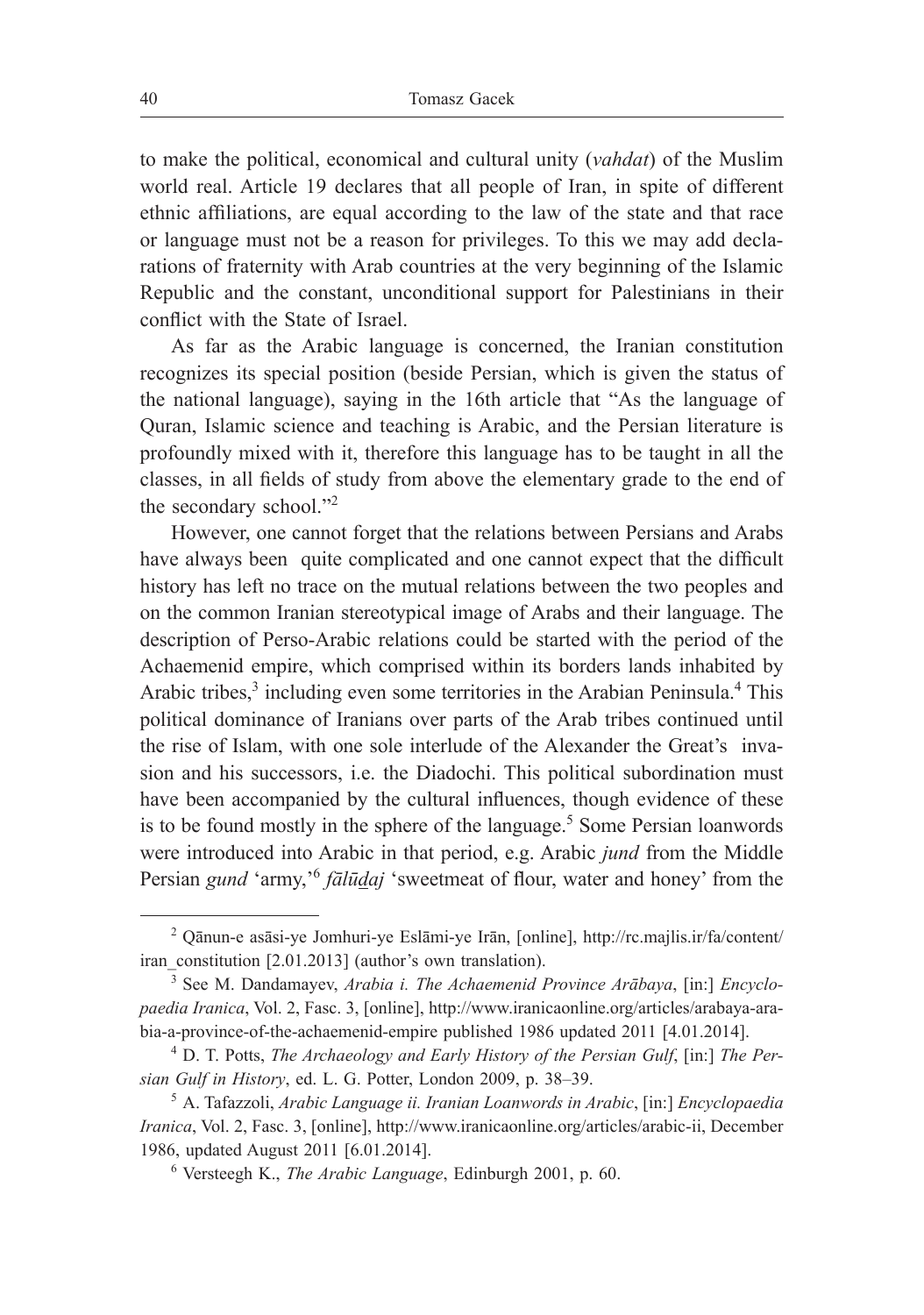to make the political, economical and cultural unity (*vahdat*) of the Muslim world real. Article 19 declares that all people of Iran, in spite of different ethnic affiliations, are equal according to the law of the state and that race or language must not be a reason for privileges. To this we may add declarations of fraternity with Arab countries at the very beginning of the Islamic Republic and the constant, unconditional support for Palestinians in their conflict with the State of Israel.

As far as the Arabic language is concerned, the Iranian constitution recognizes its special position (beside Persian, which is given the status of the national language), saying in the 16th article that "As the language of Quran, Islamic science and teaching is Arabic, and the Persian literature is profoundly mixed with it, therefore this language has to be taught in all the classes, in all fields of study from above the elementary grade to the end of the secondary school."2

However, one cannot forget that the relations between Persians and Arabs have always been quite complicated and one cannot expect that the difficult history has left no trace on the mutual relations between the two peoples and on the common Iranian stereotypical image of Arabs and their language. The description of Perso-Arabic relations could be started with the period of the Achaemenid empire, which comprised within its borders lands inhabited by Arabic tribes,<sup>3</sup> including even some territories in the Arabian Peninsula.<sup>4</sup> This political dominance of Iranians over parts of the Arab tribes continued until the rise of Islam, with one sole interlude of the Alexander the Great's invasion and his successors, i.e. the Diadochi. This political subordination must have been accompanied by the cultural influences, though evidence of these is to be found mostly in the sphere of the language.<sup>5</sup> Some Persian loanwords were introduced into Arabic in that period, e.g. Arabic *jund* from the Middle Persian *gund* 'army,'<sup>6</sup> *fālūdaj* 'sweetmeat of flour, water and honey' from the

<sup>2</sup> Qānun-e asāsi-ye Jomhuri-ye Eslāmi-ye Irān, [online], http://rc.majlis.ir/fa/content/ iran\_constitution [2.01.2013] (author's own translation).

<sup>3</sup> See M. Dandamayev, *Arabia i. The Achaemenid Province Arābaya*, [in:] *Encyclopaedia Iranica*, Vol. 2, Fasc. 3, [online], http://www.iranicaonline.org/articles/arabaya-arabia-a-province-of-the-achaemenid-empire published 1986 updated 2011 [4.01.2014].

<sup>4</sup> D. T. Potts, *The Archaeology and Early History of the Persian Gulf*, [in:] *The Persian Gulf in History*, ed. L. G. Potter, London 2009, p. 38–39.

<sup>5</sup> A. Tafazzoli, *Arabic Language ii. Iranian Loanwords in Arabic*, [in:] *Encyclopaedia Iranica*, Vol. 2, Fasc. 3, [online], http://www.iranicaonline.org/articles/arabic-ii, December 1986, updated August 2011 [6.01.2014].

<sup>6</sup> Versteegh K., *The Arabic Language*, Edinburgh 2001, p. 60.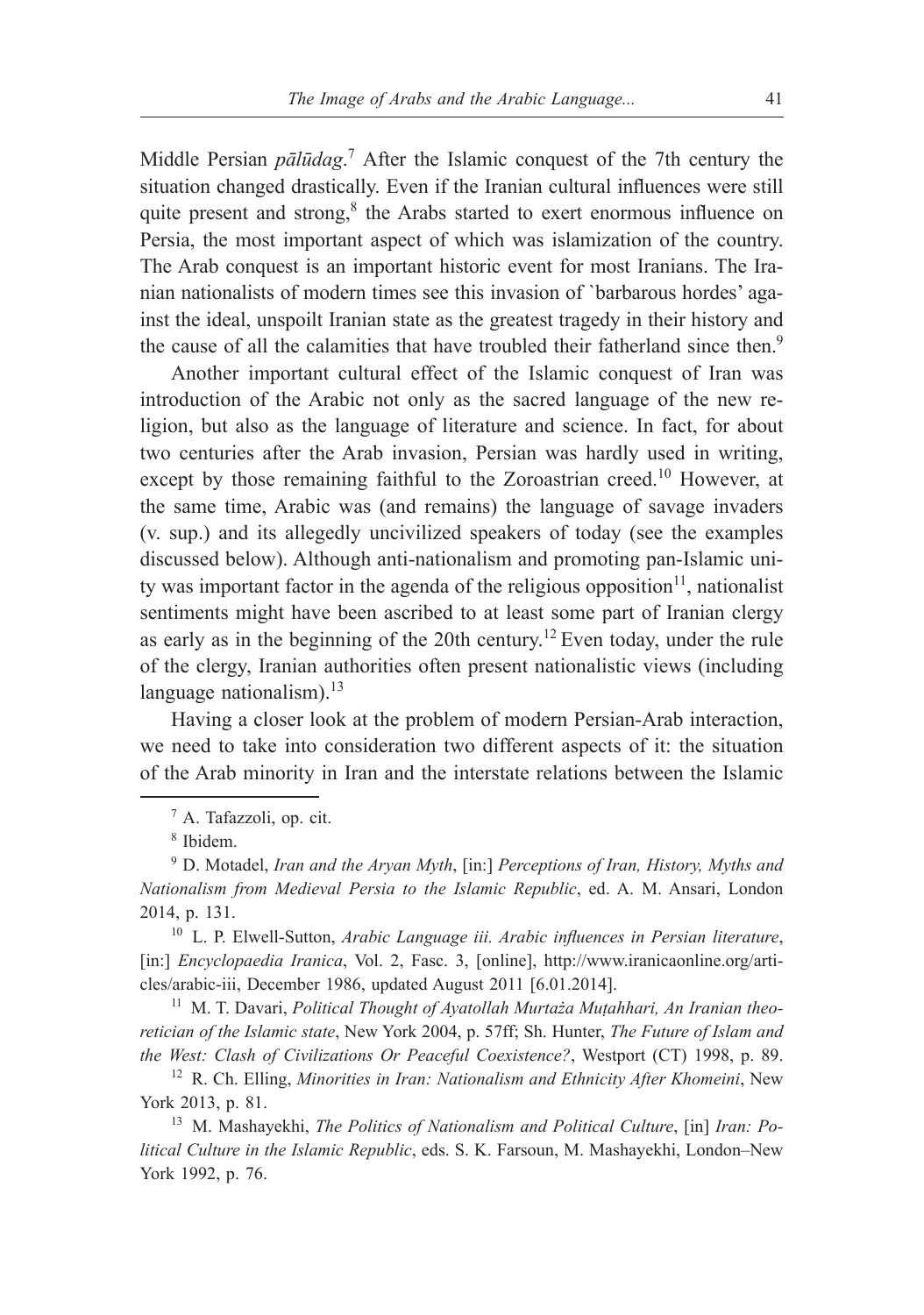Middle Persian *pālūdag*. <sup>7</sup> After the Islamic conquest of the 7th century the situation changed drastically. Even if the Iranian cultural influences were still quite present and strong,<sup>8</sup> the Arabs started to exert enormous influence on Persia, the most important aspect of which was islamization of the country. The Arab conquest is an important historic event for most Iranians. The Iranian nationalists of modern times see this invasion of `barbarous hordes' against the ideal, unspoilt Iranian state as the greatest tragedy in their history and the cause of all the calamities that have troubled their fatherland since then.<sup>9</sup>

Another important cultural effect of the Islamic conquest of Iran was introduction of the Arabic not only as the sacred language of the new religion, but also as the language of literature and science. In fact, for about two centuries after the Arab invasion, Persian was hardly used in writing, except by those remaining faithful to the Zoroastrian creed.<sup>10</sup> However, at the same time, Arabic was (and remains) the language of savage invaders (v. sup.) and its allegedly uncivilized speakers of today (see the examples discussed below). Although anti-nationalism and promoting pan-Islamic unity was important factor in the agenda of the religious opposition<sup>11</sup>, nationalist sentiments might have been ascribed to at least some part of Iranian clergy as early as in the beginning of the 20th century.<sup>12</sup> Even today, under the rule of the clergy, Iranian authorities often present nationalistic views (including language nationalism). $^{13}$ 

Having a closer look at the problem of modern Persian-Arab interaction, we need to take into consideration two different aspects of it: the situation of the Arab minority in Iran and the interstate relations between the Islamic

<sup>10</sup> L. P. Elwell-Sutton, *Arabic Language iii. Arabic influences in Persian literature*, [in:] *Encyclopaedia Iranica*, Vol. 2, Fasc. 3, [online], http://www.iranicaonline.org/articles/arabic-iii, December 1986, updated August 2011 [6.01.2014].

<sup>11</sup> M. T. Davari, *Political Thought of Avatollah Murtaża Mutahhari, An Iranian theoretician of the Islamic state*, New York 2004, p. 57ff; Sh. Hunter, *The Future of Islam and the West: Clash of Civilizations Or Peaceful Coexistence?*, Westport (CT) 1998, p. 89.

<sup>12</sup> R. Ch. Elling, *Minorities in Iran: Nationalism and Ethnicity After Khomeini*, New York 2013, p. 81.

<sup>13</sup> M. Mashayekhi, *The Politics of Nationalism and Political Culture*, [in] *Iran: Political Culture in the Islamic Republic*, eds. S. K. Farsoun, M. Mashayekhi, London–New York 1992, p. 76.

<sup>7</sup> A. Tafazzoli, op. cit.

<sup>8</sup> Ibidem.

<sup>9</sup> D. Motadel, *Iran and the Aryan Myth*, [in:] *Perceptions of Iran, History, Myths and Nationalism from Medieval Persia to the Islamic Republic*, ed. A. M. Ansari, London 2014, p. 131.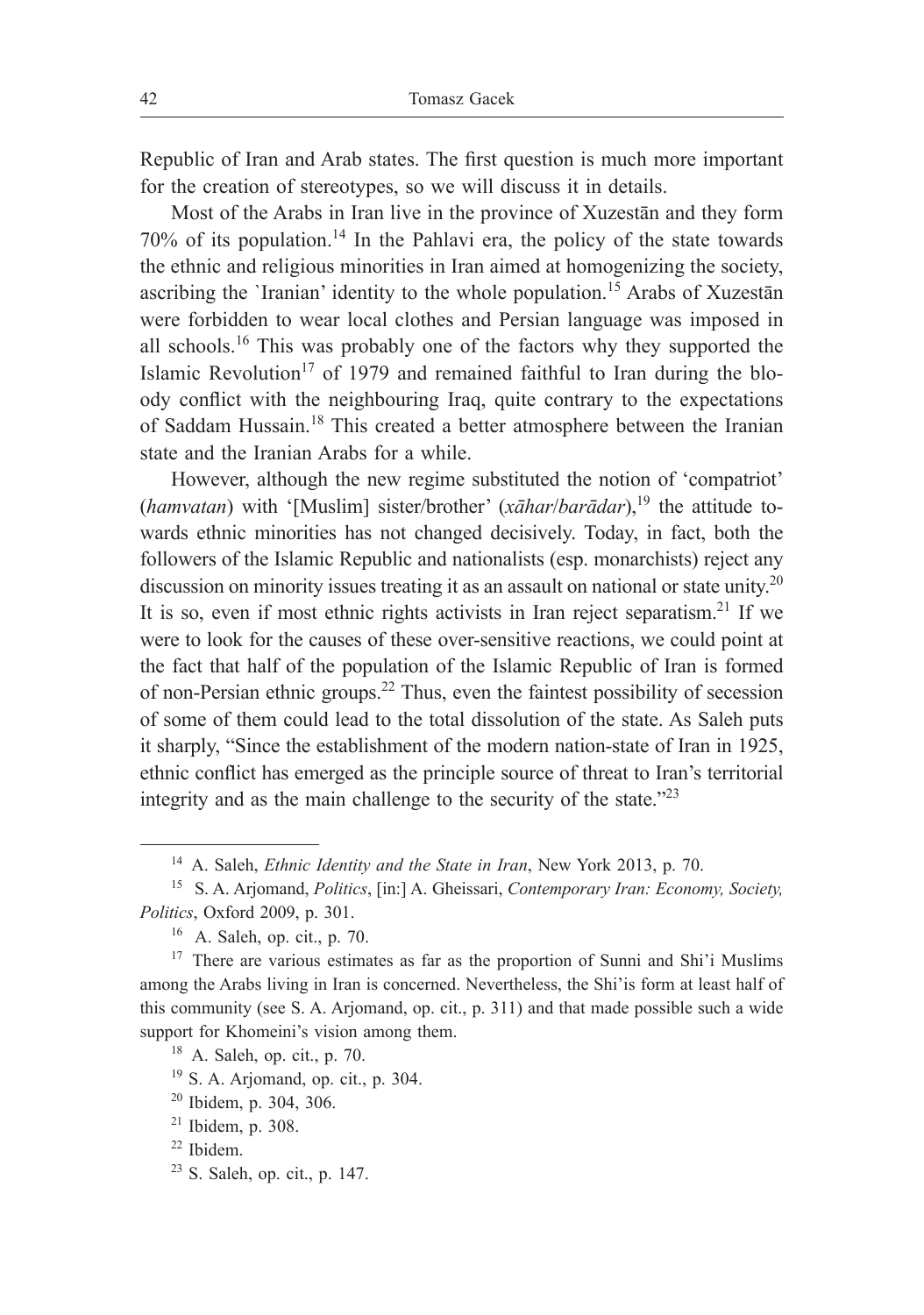Republic of Iran and Arab states. The first question is much more important for the creation of stereotypes, so we will discuss it in details.

Most of the Arabs in Iran live in the province of Xuzestān and they form  $70\%$  of its population.<sup>14</sup> In the Pahlavi era, the policy of the state towards the ethnic and religious minorities in Iran aimed at homogenizing the society, ascribing the `Iranian' identity to the whole population.<sup>15</sup> Arabs of Xuzestān were forbidden to wear local clothes and Persian language was imposed in all schools.<sup>16</sup> This was probably one of the factors why they supported the Islamic Revolution<sup>17</sup> of 1979 and remained faithful to Iran during the bloody conflict with the neighbouring Iraq, quite contrary to the expectations of Saddam Hussain.<sup>18</sup> This created a better atmosphere between the Iranian state and the Iranian Arabs for a while.

However, although the new regime substituted the notion of 'compatriot' (*hamvatan*) with '[Muslim] sister/brother' (*xāhar*/*barādar*),<sup>19</sup> the attitude towards ethnic minorities has not changed decisively. Today, in fact, both the followers of the Islamic Republic and nationalists (esp. monarchists) reject any discussion on minority issues treating it as an assault on national or state unity.<sup>20</sup> It is so, even if most ethnic rights activists in Iran reject separatism.<sup>21</sup> If we were to look for the causes of these over-sensitive reactions, we could point at the fact that half of the population of the Islamic Republic of Iran is formed of non-Persian ethnic groups.<sup>22</sup> Thus, even the faintest possibility of secession of some of them could lead to the total dissolution of the state. As Saleh puts it sharply, "Since the establishment of the modern nation-state of Iran in 1925, ethnic conflict has emerged as the principle source of threat to Iran's territorial integrity and as the main challenge to the security of the state."<sup>23</sup>

<sup>23</sup> S. Saleh, op. cit., p. 147.

<sup>14</sup> A. Saleh, *Ethnic Identity and the State in Iran*, New York 2013, p. 70.

<sup>15</sup>S. A. Arjomand, *Politics*, [in:] A. Gheissari, *Contemporary Iran: Economy, Society, Politics*, Oxford 2009, p. 301.

 $16$  A. Saleh, op. cit., p. 70.

<sup>&</sup>lt;sup>17</sup> There are various estimates as far as the proportion of Sunni and Shi'i Muslims among the Arabs living in Iran is concerned. Nevertheless, the Shi'is form at least half of this community (see S. A. Arjomand, op. cit., p. 311) and that made possible such a wide support for Khomeini's vision among them.

<sup>18</sup> A. Saleh, op. cit., p. 70.

<sup>19</sup> S. A. Arjomand, op. cit., p. 304.

<sup>20</sup> Ibidem, p. 304, 306.

 $21$  Ibidem, p. 308.

<sup>22</sup> Ibidem.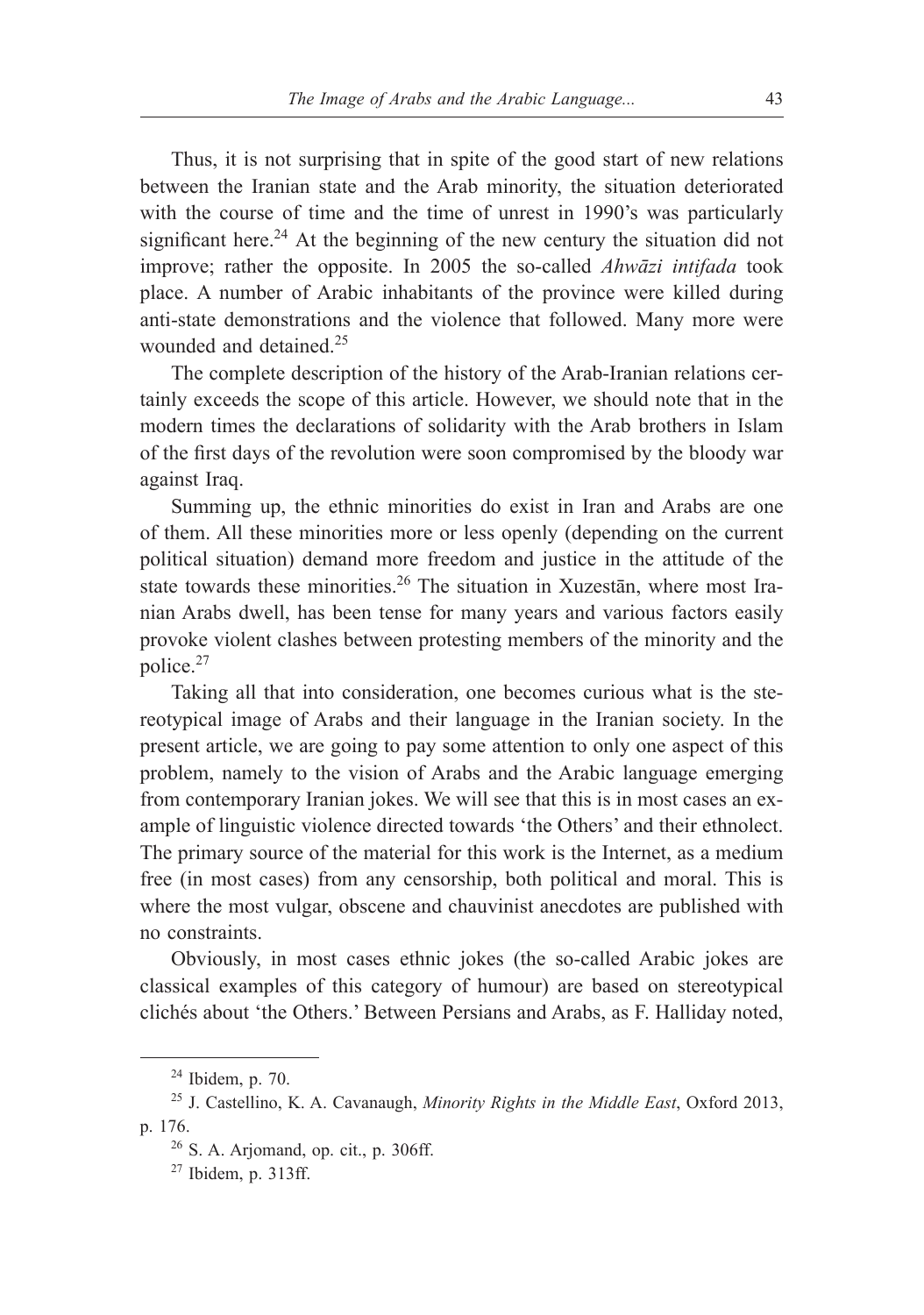Thus, it is not surprising that in spite of the good start of new relations between the Iranian state and the Arab minority, the situation deteriorated with the course of time and the time of unrest in 1990's was particularly significant here.<sup>24</sup> At the beginning of the new century the situation did not improve; rather the opposite. In 2005 the so-called *Ahwāzi intifada* took place. A number of Arabic inhabitants of the province were killed during anti-state demonstrations and the violence that followed. Many more were wounded and detained.<sup>25</sup>

The complete description of the history of the Arab-Iranian relations certainly exceeds the scope of this article. However, we should note that in the modern times the declarations of solidarity with the Arab brothers in Islam of the first days of the revolution were soon compromised by the bloody war against Iraq.

Summing up, the ethnic minorities do exist in Iran and Arabs are one of them. All these minorities more or less openly (depending on the current political situation) demand more freedom and justice in the attitude of the state towards these minorities.<sup>26</sup> The situation in Xuzestān, where most Iranian Arabs dwell, has been tense for many years and various factors easily provoke violent clashes between protesting members of the minority and the police.<sup>27</sup>

Taking all that into consideration, one becomes curious what is the stereotypical image of Arabs and their language in the Iranian society. In the present article, we are going to pay some attention to only one aspect of this problem, namely to the vision of Arabs and the Arabic language emerging from contemporary Iranian jokes. We will see that this is in most cases an example of linguistic violence directed towards 'the Others' and their ethnolect. The primary source of the material for this work is the Internet, as a medium free (in most cases) from any censorship, both political and moral. This is where the most vulgar, obscene and chauvinist anecdotes are published with no constraints.

Obviously, in most cases ethnic jokes (the so-called Arabic jokes are classical examples of this category of humour) are based on stereotypical clichés about 'the Others.' Between Persians and Arabs, as F. Halliday noted,

<sup>24</sup> Ibidem, p. 70.

<sup>25</sup> J. Castellino, K. A. Cavanaugh, *Minority Rights in the Middle East*, Oxford 2013, p. 176.

 $26$  S. A. Arjomand, op. cit., p. 306ff.

<sup>27</sup> Ibidem, p. 313ff.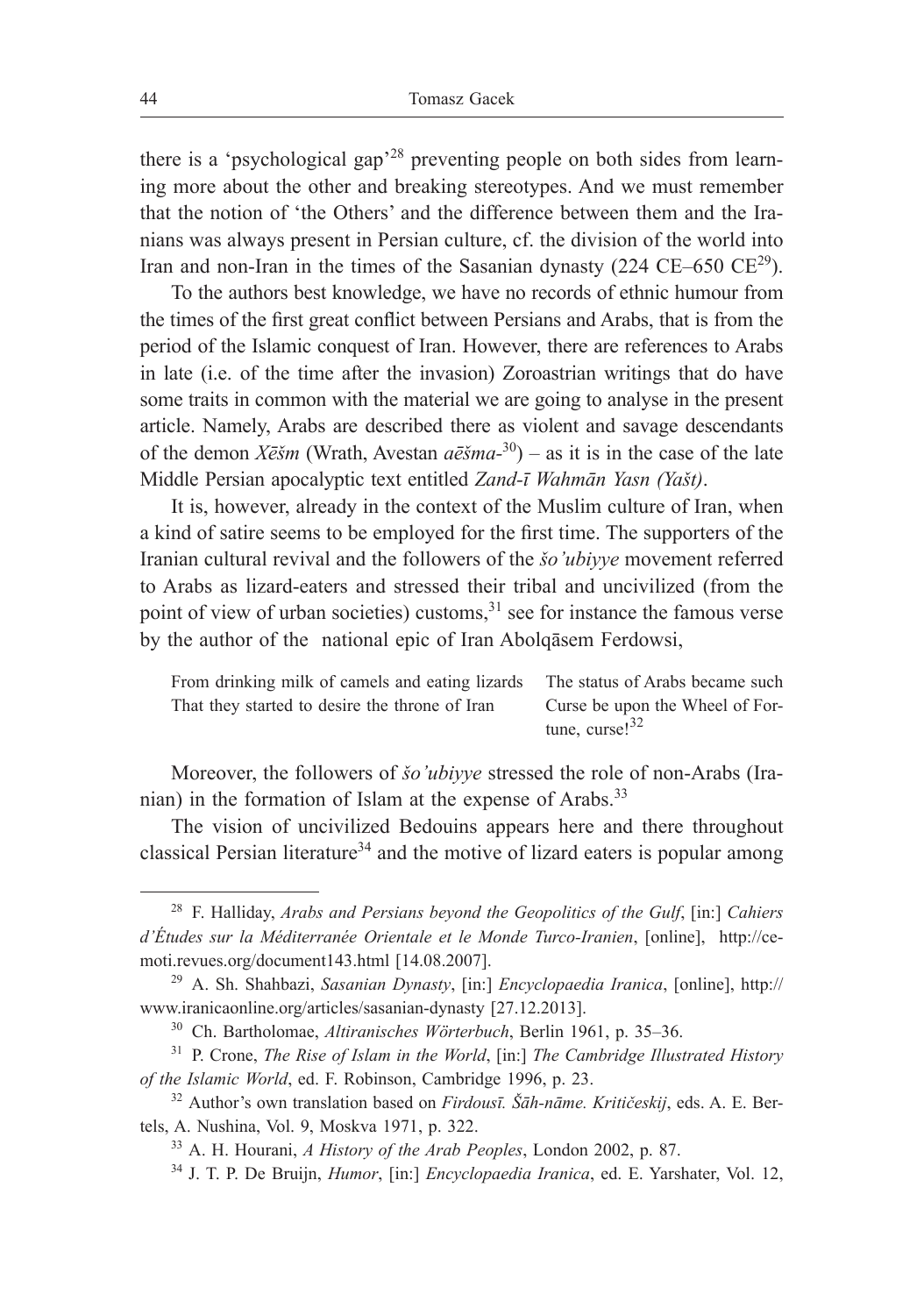there is a 'psychological gap'<sup>28</sup> preventing people on both sides from learning more about the other and breaking stereotypes. And we must remember that the notion of 'the Others' and the difference between them and the Iranians was always present in Persian culture, cf. the division of the world into Iran and non-Iran in the times of the Sasanian dynasty (224 CE–650  $CE^{29}$ ).

To the authors best knowledge, we have no records of ethnic humour from the times of the first great conflict between Persians and Arabs, that is from the period of the Islamic conquest of Iran. However, there are references to Arabs in late (i.e. of the time after the invasion) Zoroastrian writings that do have some traits in common with the material we are going to analyse in the present article. Namely, Arabs are described there as violent and savage descendants of the demon *Xēšm* (Wrath, Avestan *aēšma-*<sup>30</sup>) – as it is in the case of the late Middle Persian apocalyptic text entitled *Zand-ī Wahmān Yasn (Yašt)*.

It is, however, already in the context of the Muslim culture of Iran, when a kind of satire seems to be employed for the first time. The supporters of the Iranian cultural revival and the followers of the *šo'ubiyye* movement referred to Arabs as lizard-eaters and stressed their tribal and uncivilized (from the point of view of urban societies) customs, $31$  see for instance the famous verse by the author of the national epic of Iran Abolqāsem Ferdowsi,

From drinking milk of camels and eating lizards The status of Arabs became such That they started to desire the throne of Iran Curse be upon the Wheel of Fortune, curse!<sup>32</sup>

Moreover, the followers of *šo'ubiyye* stressed the role of non-Arabs (Iranian) in the formation of Islam at the expense of Arabs.<sup>33</sup>

The vision of uncivilized Bedouins appears here and there throughout classical Persian literature<sup>34</sup> and the motive of lizard eaters is popular among

<sup>28</sup> F. Halliday, *Arabs and Persians beyond the Geopolitics of the Gulf*, [in:] *Cahiers d'Études sur la Méditerranée Orientale et le Monde Turco-Iranien*, [online], http://cemoti.revues.org/document143.html [14.08.2007].

<sup>29</sup> A. Sh. Shahbazi, *Sasanian Dynasty*, [in:] *Encyclopaedia Iranica*, [online], http:// www.iranicaonline.org/articles/sasanian-dynasty [27.12.2013].

<sup>30</sup> Ch. Bartholomae, *Altiranisches Wörterbuch*, Berlin 1961, p. 35–36.

<sup>31</sup> P. Crone, *The Rise of Islam in the World*, [in:] *The Cambridge Illustrated History of the Islamic World*, ed. F. Robinson, Cambridge 1996, p. 23.

<sup>32</sup> Author's own translation based on *Firdousī. Šāh-nāme. Kritičeskij*, eds. A. E. Bertels, A. Nushina, Vol. 9, Moskva 1971, p. 322.

<sup>33</sup> A. H. Hourani, *A History of the Arab Peoples*, London 2002, p. 87.

<sup>34</sup> J. T. P. De Bruijn, *Humor*, [in:] *Encyclopaedia Iranica*, ed. E. Yarshater, Vol. 12,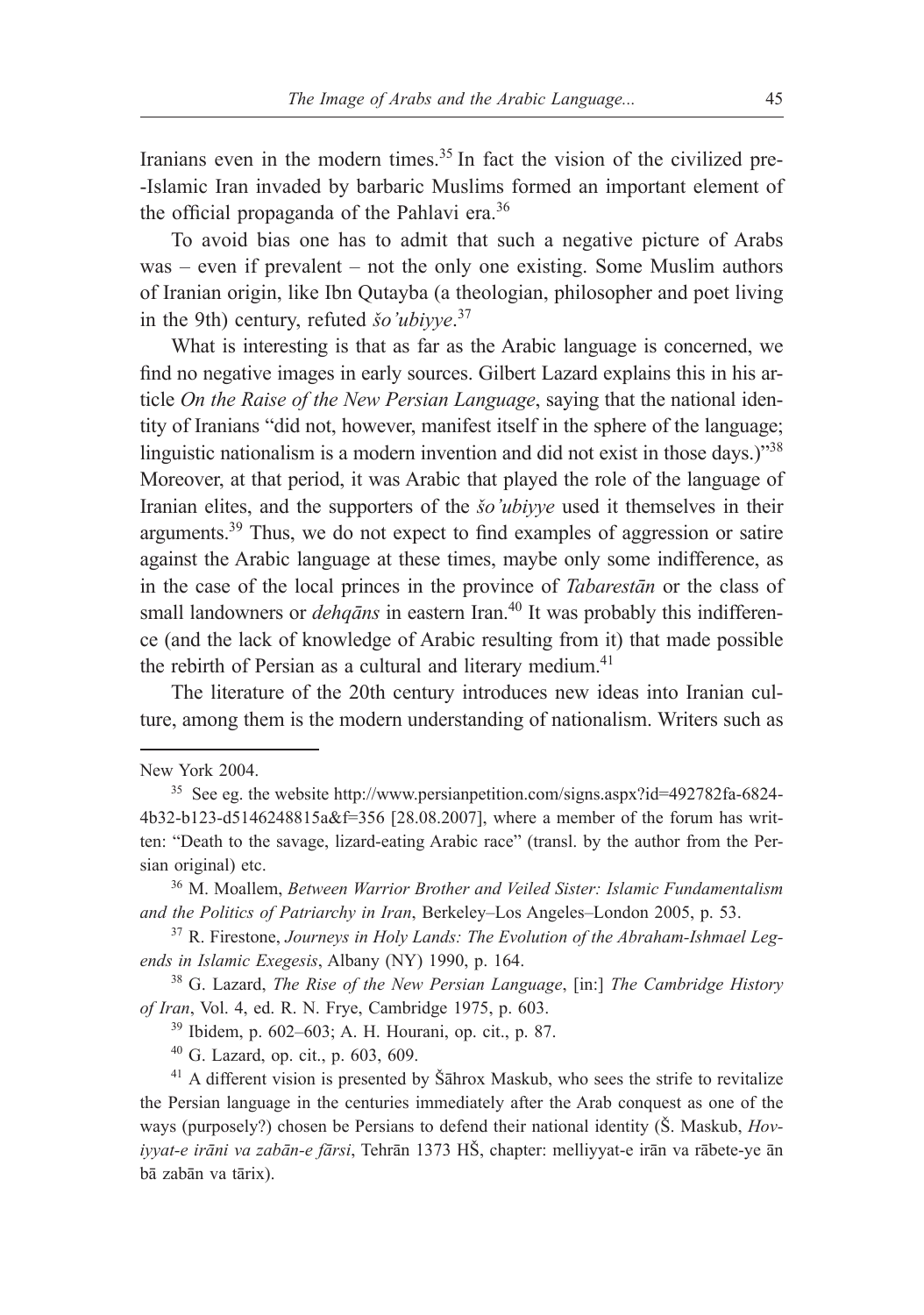Iranians even in the modern times.<sup>35</sup> In fact the vision of the civilized pre--Islamic Iran invaded by barbaric Muslims formed an important element of the official propaganda of the Pahlavi era.<sup>36</sup>

To avoid bias one has to admit that such a negative picture of Arabs was – even if prevalent – not the only one existing. Some Muslim authors of Iranian origin, like Ibn Qutayba (a theologian, philosopher and poet living in the 9th) century, refuted *šo'ubiyye*. 37

What is interesting is that as far as the Arabic language is concerned, we find no negative images in early sources. Gilbert Lazard explains this in his article *On the Raise of the New Persian Language*, saying that the national identity of Iranians "did not, however, manifest itself in the sphere of the language; linguistic nationalism is a modern invention and did not exist in those days.)<sup>"38</sup> Moreover, at that period, it was Arabic that played the role of the language of Iranian elites, and the supporters of the *šo'ubiyye* used it themselves in their arguments.39 Thus, we do not expect to find examples of aggression or satire against the Arabic language at these times, maybe only some indifference, as in the case of the local princes in the province of *Tabarestān* or the class of small landowners or *dehqāns* in eastern Iran.<sup>40</sup> It was probably this indifference (and the lack of knowledge of Arabic resulting from it) that made possible the rebirth of Persian as a cultural and literary medium.<sup>41</sup>

The literature of the 20th century introduces new ideas into Iranian culture, among them is the modern understanding of nationalism. Writers such as

<sup>39</sup> Ibidem, p. 602–603; A. H. Hourani, op. cit., p. 87.

<sup>40</sup> G. Lazard, op. cit., p. 603, 609.

<sup>41</sup> A different vision is presented by Šāhrox Maskub, who sees the strife to revitalize the Persian language in the centuries immediately after the Arab conquest as one of the ways (purposely?) chosen be Persians to defend their national identity (Š. Maskub, *Hoviyyat-e irāni va zabān-e fārsi*, Tehrān 1373 HŠ, chapter: melliyyat-e irān va rābete-ye ān bā zabān va tārix).

New York 2004.

<sup>35</sup> See eg. the website http://www.persianpetition.com/signs.aspx?id=492782fa-6824- 4b32-b123-d5146248815a&f=356 [28.08.2007], where a member of the forum has written: "Death to the savage, lizard-eating Arabic race" (transl. by the author from the Persian original) etc.

<sup>36</sup> M. Moallem, *Between Warrior Brother and Veiled Sister: Islamic Fundamentalism and the Politics of Patriarchy in Iran*, Berkeley–Los Angeles–London 2005, p. 53.

<sup>37</sup> R. Firestone, *Journeys in Holy Lands: The Evolution of the Abraham-Ishmael Legends in Islamic Exegesis*, Albany (NY) 1990, p. 164.

<sup>38</sup> G. Lazard, *The Rise of the New Persian Language*, [in:] *The Cambridge History of Iran*, Vol. 4, ed. R. N. Frye, Cambridge 1975, p. 603.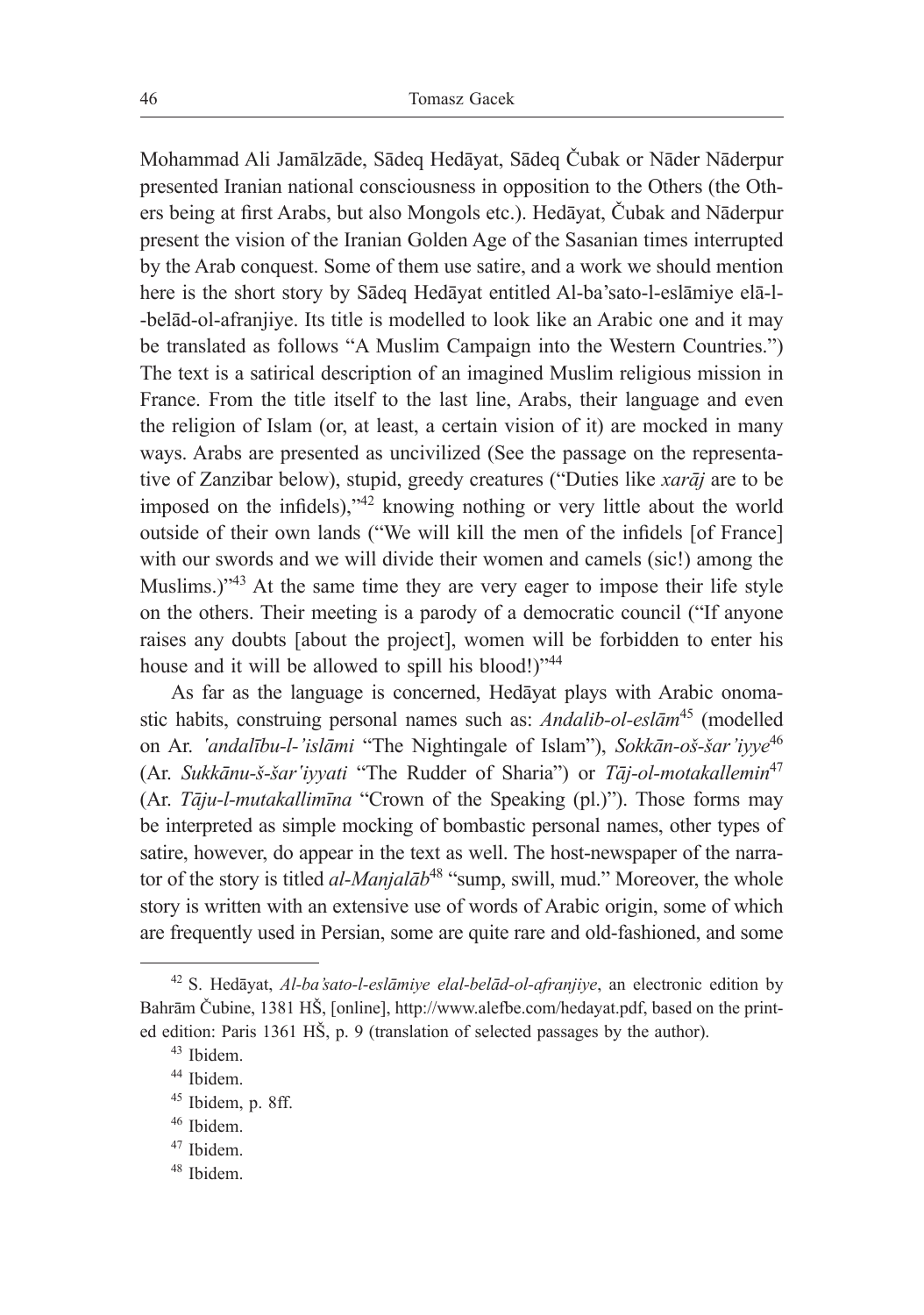Mohammad Ali Jamālzāde, Sādeq Hedāyat, Sādeq Čubak or Nāder Nāderpur presented Iranian national consciousness in opposition to the Others (the Others being at first Arabs, but also Mongols etc.). Hedāyat, Čubak and Nāderpur present the vision of the Iranian Golden Age of the Sasanian times interrupted by the Arab conquest. Some of them use satire, and a work we should mention here is the short story by Sādeq Hedāyat entitled Al-ba'sato-l-eslāmiye elā-l- -belād-ol-afranjiye. Its title is modelled to look like an Arabic one and it may be translated as follows "A Muslim Campaign into the Western Countries.") The text is a satirical description of an imagined Muslim religious mission in France. From the title itself to the last line, Arabs, their language and even the religion of Islam (or, at least, a certain vision of it) are mocked in many ways. Arabs are presented as uncivilized (See the passage on the representative of Zanzibar below), stupid, greedy creatures ("Duties like *xarāj* are to be imposed on the infidels),"42 knowing nothing or very little about the world outside of their own lands ("We will kill the men of the infidels [of France] with our swords and we will divide their women and camels (sic!) among the Muslims.)"<sup>43</sup> At the same time they are very eager to impose their life style on the others. Their meeting is a parody of a democratic council ("If anyone raises any doubts [about the project], women will be forbidden to enter his house and it will be allowed to spill his blood!)"<sup>44</sup>

As far as the language is concerned, Hedāyat plays with Arabic onomastic habits, construing personal names such as: *Andalib-ol-eslām*<sup>45</sup> (modelled on Ar. *'andalību-l-'islāmi* "The Nightingale of Islam"), *Sokkān-oš-šar'iyye*<sup>46</sup> (Ar. *Sukkānu-š-šar'iyyati* "The Rudder of Sharia") or *Tāj-ol-motakallemin*<sup>47</sup> (Ar. *Tāju-l-mutakallimīna* "Crown of the Speaking (pl.)"). Those forms may be interpreted as simple mocking of bombastic personal names, other types of satire, however, do appear in the text as well. The host-newspaper of the narrator of the story is titled *al-Manjalāb*<sup>48</sup> "sump, swill, mud." Moreover, the whole story is written with an extensive use of words of Arabic origin, some of which are frequently used in Persian, some are quite rare and old-fashioned, and some

<sup>48</sup> Ibidem.

<sup>42</sup> S. Hedāyat, *Al-ba'sato-l-eslāmiye elal-belād-ol-afranjiye*, an electronic edition by Bahrām Čubine, 1381 HŠ, [online], http://www.alefbe.com/hedayat.pdf, based on the printed edition: Paris 1361 HŠ, p. 9 (translation of selected passages by the author).

<sup>43</sup> Ibidem.

<sup>44</sup> Ibidem.

<sup>45</sup> Ibidem, p. 8ff.

<sup>46</sup> Ibidem.

<sup>47</sup> Ibidem.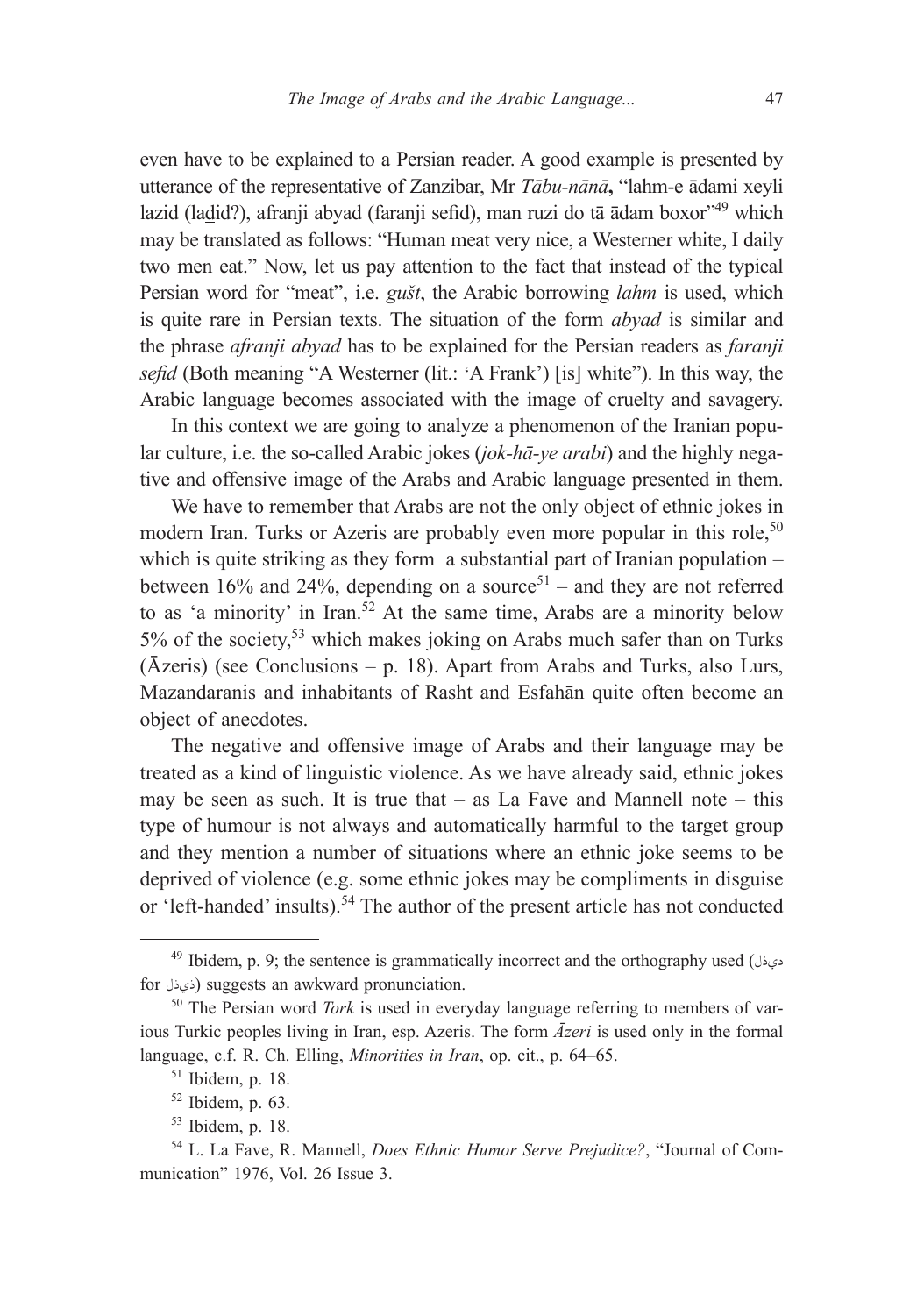even have to be explained to a Persian reader. A good example is presented by utterance of the representative of Zanzibar, Mr *Tābu-nānā***,** "lahm-e ādami xeyli lazid (ladid?), afranji abyad (faranji sefid), man ruzi do tā ādam boxor"49 which may be translated as follows: "Human meat very nice, a Westerner white, I daily two men eat." Now, let us pay attention to the fact that instead of the typical Persian word for "meat", i.e. *gušt*, the Arabic borrowing *lahm* is used, which is quite rare in Persian texts. The situation of the form *abyad* is similar and the phrase *afranji abyad* has to be explained for the Persian readers as *faranji sefid* (Both meaning "A Westerner (lit.: 'A Frank') [is] white"). In this way, the Arabic language becomes associated with the image of cruelty and savagery.

In this context we are going to analyze a phenomenon of the Iranian popular culture, i.e. the so-called Arabic jokes (*jok-hā-ye arabi*) and the highly negative and offensive image of the Arabs and Arabic language presented in them.

We have to remember that Arabs are not the only object of ethnic jokes in modern Iran. Turks or Azeris are probably even more popular in this role,<sup>50</sup> which is quite striking as they form a substantial part of Iranian population – between 16% and 24%, depending on a source<sup>51</sup> – and they are not referred to as 'a minority' in Iran.<sup>52</sup> At the same time, Arabs are a minority below 5% of the society,53 which makes joking on Arabs much safer than on Turks (Āzeris) (see Conclusions – p. 18). Apart from Arabs and Turks, also Lurs, Mazandaranis and inhabitants of Rasht and Esfahān quite often become an object of anecdotes.

The negative and offensive image of Arabs and their language may be treated as a kind of linguistic violence. As we have already said, ethnic jokes may be seen as such. It is true that  $-$  as La Fave and Mannell note  $-$  this type of humour is not always and automatically harmful to the target group and they mention a number of situations where an ethnic joke seems to be deprived of violence (e.g. some ethnic jokes may be compliments in disguise or 'left-handed' insults).<sup>54</sup> The author of the present article has not conducted

<sup>49</sup> Ibidem, p. 9; the sentence is grammatically incorrect and the orthography used (ديذل for ذي ذل) suggests an awkward pronunciation.

<sup>50</sup> The Persian word *Tork* is used in everyday language referring to members of various Turkic peoples living in Iran, esp. Azeris. The form *Āzeri* is used only in the formal language, c.f. R. Ch. Elling, *Minorities in Iran*, op. cit., p. 64–65.

<sup>51</sup> Ibidem, p. 18.

 $52$  Ibidem, p. 63.

<sup>53</sup> Ibidem, p. 18.

<sup>54</sup> L. La Fave, R. Mannell, *Does Ethnic Humor Serve Prejudice?*, "Journal of Communication" 1976, Vol. 26 Issue 3.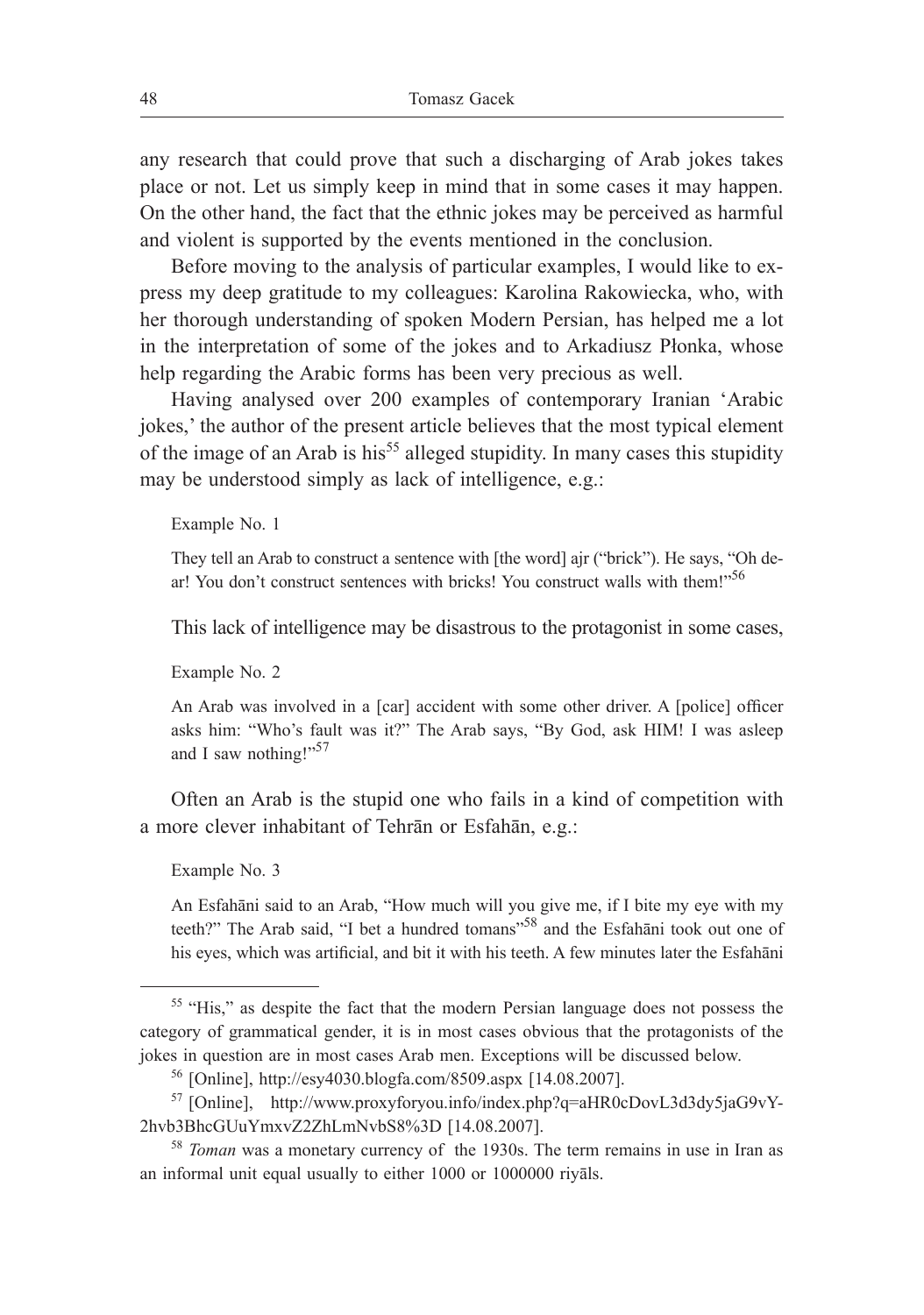any research that could prove that such a discharging of Arab jokes takes place or not. Let us simply keep in mind that in some cases it may happen. On the other hand, the fact that the ethnic jokes may be perceived as harmful and violent is supported by the events mentioned in the conclusion.

Before moving to the analysis of particular examples, I would like to express my deep gratitude to my colleagues: Karolina Rakowiecka, who, with her thorough understanding of spoken Modern Persian, has helped me a lot in the interpretation of some of the jokes and to Arkadiusz Płonka, whose help regarding the Arabic forms has been very precious as well.

Having analysed over 200 examples of contemporary Iranian 'Arabic jokes,' the author of the present article believes that the most typical element of the image of an Arab is his<sup>55</sup> alleged stupidity. In many cases this stupidity may be understood simply as lack of intelligence, e.g.:

Example No. 1

They tell an Arab to construct a sentence with [the word] ajr ("brick"). He says, "Oh dear! You don't construct sentences with bricks! You construct walls with them!"<sup>56</sup>

This lack of intelligence may be disastrous to the protagonist in some cases,

Example No. 2

An Arab was involved in a [car] accident with some other driver. A [police] officer asks him: "Who's fault was it?" The Arab says, "By God, ask HIM! I was asleep and I saw nothing!"<sup>57</sup>

Often an Arab is the stupid one who fails in a kind of competition with a more clever inhabitant of Tehrān or Esfahān, e.g.:

Example No. 3

An Esfahāni said to an Arab, "How much will you give me, if I bite my eye with my teeth?" The Arab said, "I bet a hundred tomans"<sup>58</sup> and the Esfahani took out one of his eyes, which was artificial, and bit it with his teeth. A few minutes later the Esfahāni

<sup>&</sup>lt;sup>55</sup> "His," as despite the fact that the modern Persian language does not possess the category of grammatical gender, it is in most cases obvious that the protagonists of the jokes in question are in most cases Arab men. Exceptions will be discussed below.

<sup>56</sup> [Online], http://esy4030.blogfa.com/8509.aspx [14.08.2007].

<sup>57</sup> [Online], http://www.proxyforyou.info/index.php?q=aHR0cDovL3d3dy5jaG9vY-2hvb3BhcGUuYmxvZ2ZhLmNvbS8%3D [14.08.2007].

<sup>58</sup> *Toman* was a monetary currency of the 1930s. The term remains in use in Iran as an informal unit equal usually to either 1000 or 1000000 riyāls.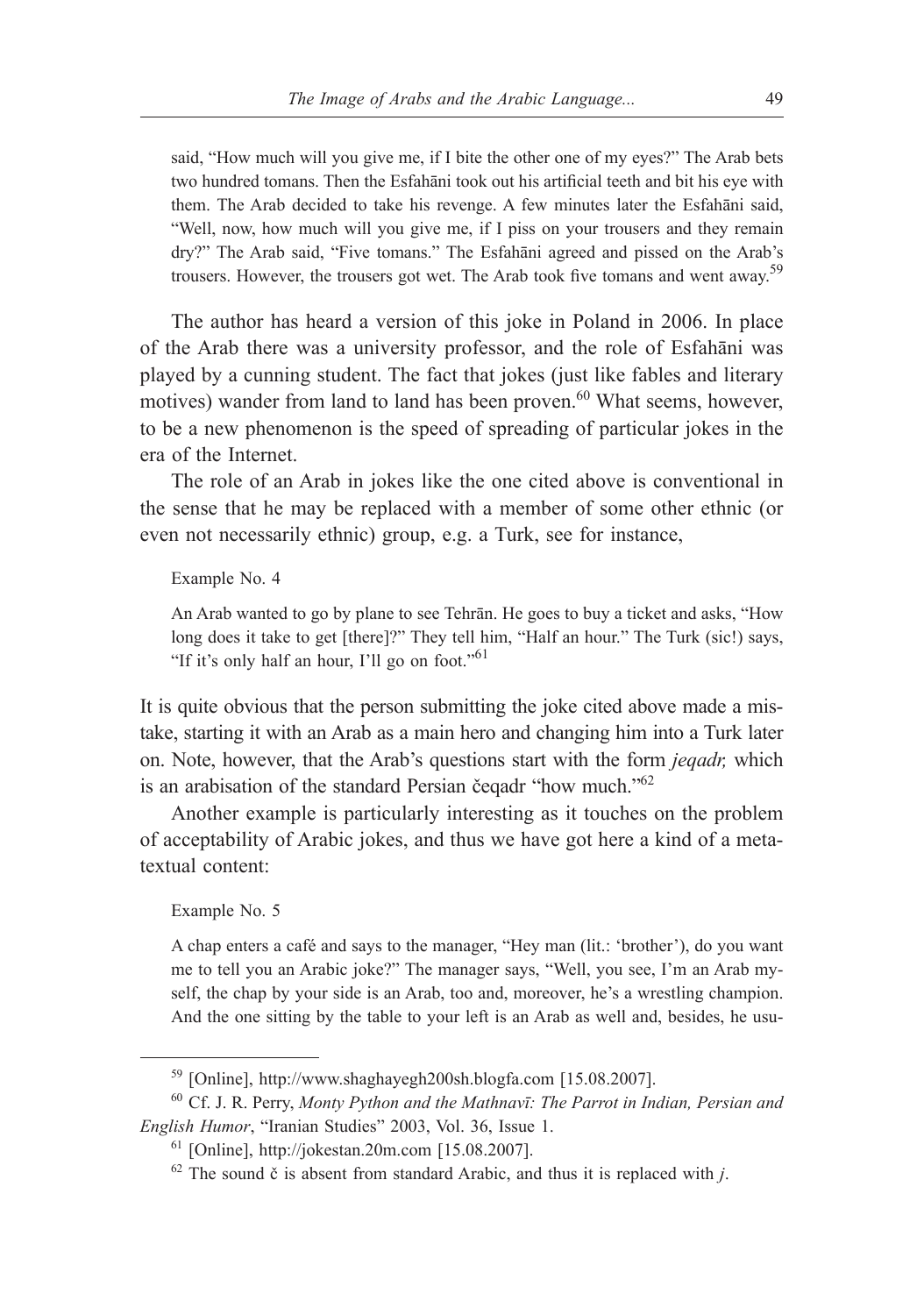said, "How much will you give me, if I bite the other one of my eyes?" The Arab bets two hundred tomans. Then the Esfahāni took out his artificial teeth and bit his eye with them. The Arab decided to take his revenge. A few minutes later the Esfahāni said, "Well, now, how much will you give me, if I piss on your trousers and they remain dry?" The Arab said, "Five tomans." The Esfahāni agreed and pissed on the Arab's trousers. However, the trousers got wet. The Arab took five tomans and went away.<sup>59</sup>

The author has heard a version of this joke in Poland in 2006. In place of the Arab there was a university professor, and the role of Esfahāni was played by a cunning student. The fact that jokes (just like fables and literary motives) wander from land to land has been proven.<sup>60</sup> What seems, however, to be a new phenomenon is the speed of spreading of particular jokes in the era of the Internet.

The role of an Arab in jokes like the one cited above is conventional in the sense that he may be replaced with a member of some other ethnic (or even not necessarily ethnic) group, e.g. a Turk, see for instance,

Example No. 4

An Arab wanted to go by plane to see Tehrān. He goes to buy a ticket and asks, "How long does it take to get [there]?" They tell him, "Half an hour." The Turk (sic!) says, "If it's only half an hour, I'll go on foot."<sup>61</sup>

It is quite obvious that the person submitting the joke cited above made a mistake, starting it with an Arab as a main hero and changing him into a Turk later on. Note, however, that the Arab's questions start with the form *jeqadr,* which is an arabisation of the standard Persian čeqadr "how much."<sup>62</sup>

Another example is particularly interesting as it touches on the problem of acceptability of Arabic jokes, and thus we have got here a kind of a metatextual content:

Example No. 5

A chap enters a café and says to the manager, "Hey man (lit.: 'brother'), do you want me to tell you an Arabic joke?" The manager says, "Well, you see, I'm an Arab myself, the chap by your side is an Arab, too and, moreover, he's a wrestling champion. And the one sitting by the table to your left is an Arab as well and, besides, he usu-

<sup>59</sup> [Online], http://www.shaghayegh200sh.blogfa.com [15.08.2007].

<sup>60</sup> Cf. J. R. Perry, *Monty Python and the Mathnavī: The Parrot in Indian, Persian and English Humor*, "Iranian Studies" 2003, Vol. 36, Issue 1.

<sup>61</sup> [Online], http://jokestan.20m.com [15.08.2007].

 $62$  The sound  $\check{c}$  is absent from standard Arabic, and thus it is replaced with *j*.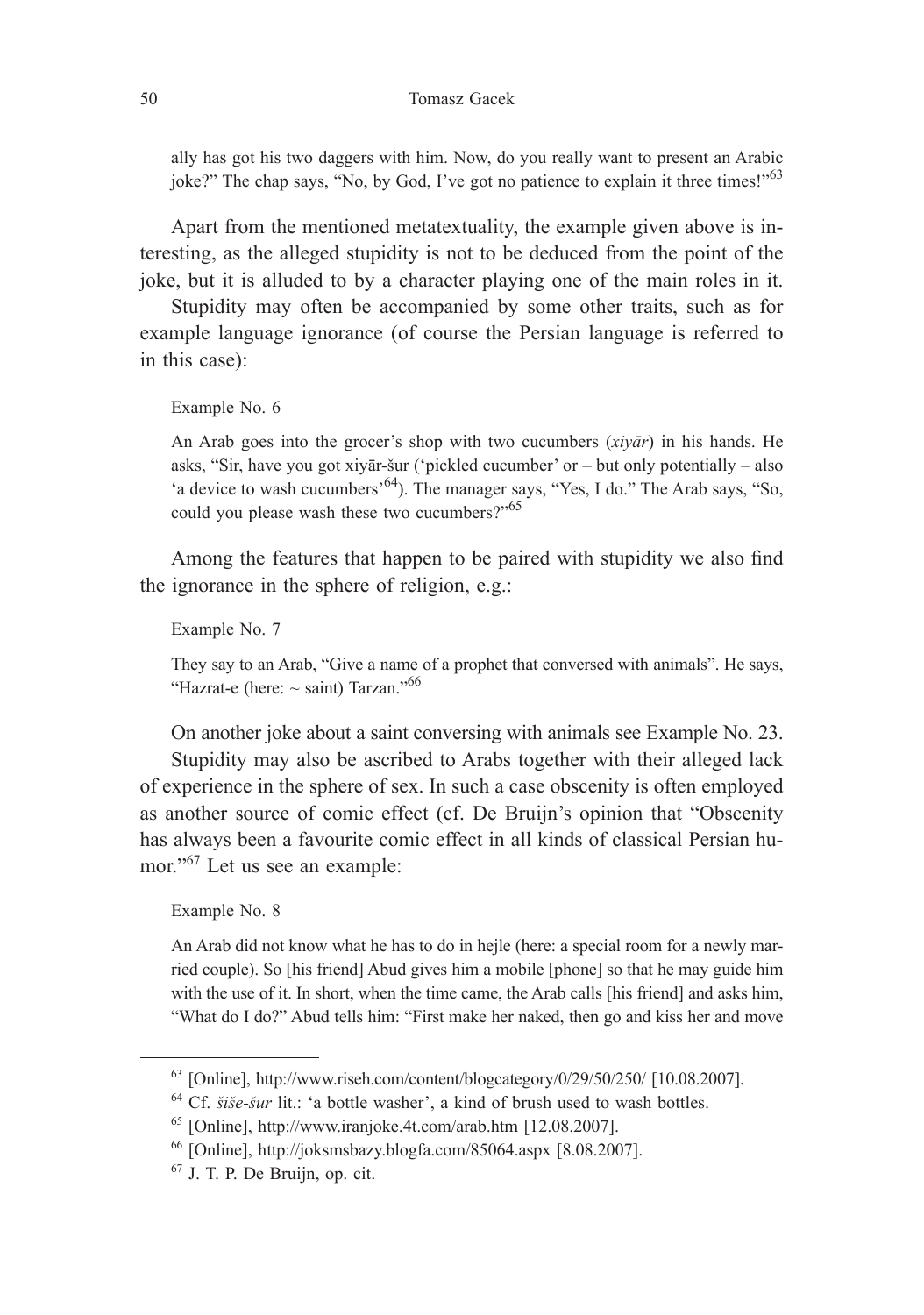ally has got his two daggers with him. Now, do you really want to present an Arabic joke?" The chap says, "No, by God, I've got no patience to explain it three times!"<sup>63</sup>

Apart from the mentioned metatextuality, the example given above is interesting, as the alleged stupidity is not to be deduced from the point of the joke, but it is alluded to by a character playing one of the main roles in it.

Stupidity may often be accompanied by some other traits, such as for example language ignorance (of course the Persian language is referred to in this case):

```
Example No. 6
```
An Arab goes into the grocer's shop with two cucumbers (*xiyār*) in his hands. He asks, "Sir, have you got xiyār-šur ('pickled cucumber' or – but only potentially – also 'a device to wash cucumbers'64). The manager says, "Yes, I do." The Arab says, "So, could you please wash these two cucumbers?"<sup>65</sup>

Among the features that happen to be paired with stupidity we also find the ignorance in the sphere of religion, e.g.:

Example No. 7

They say to an Arab, "Give a name of a prophet that conversed with animals". He says, "Hazrat-e (here:  $\sim$  saint) Tarzan."<sup>66</sup>

On another joke about a saint conversing with animals see Example No. 23. Stupidity may also be ascribed to Arabs together with their alleged lack of experience in the sphere of sex. In such a case obscenity is often employed as another source of comic effect (cf. De Bruijn's opinion that "Obscenity has always been a favourite comic effect in all kinds of classical Persian humor."<sup>67</sup> Let us see an example:

Example No. 8

An Arab did not know what he has to do in hejle (here: a special room for a newly married couple). So [his friend] Abud gives him a mobile [phone] so that he may guide him with the use of it. In short, when the time came, the Arab calls [his friend] and asks him, "What do I do?" Abud tells him: "First make her naked, then go and kiss her and move

<sup>63</sup> [Online], http://www.riseh.com/content/blogcategory/0/29/50/250/ [10.08.2007].

<sup>64</sup> Cf. *šiše-šur* lit.: 'a bottle washer', a kind of brush used to wash bottles.

<sup>65</sup> [Online], http://www.iranjoke.4t.com/arab.htm [12.08.2007].

<sup>66</sup> [Online], http://joksmsbazy.blogfa.com/85064.aspx [8.08.2007].

<sup>67</sup> J. T. P. De Bruijn, op. cit.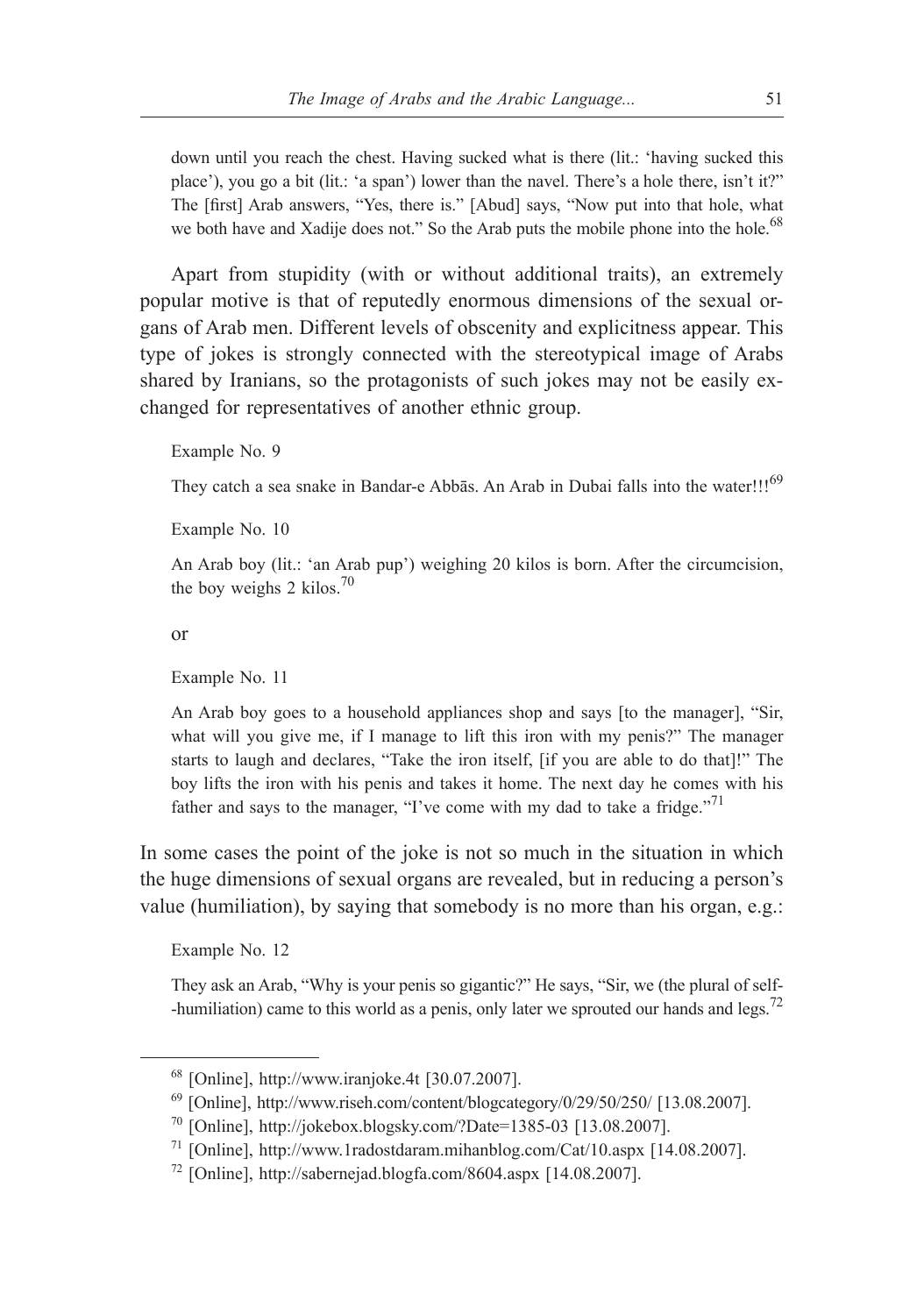down until you reach the chest. Having sucked what is there (lit.: 'having sucked this place'), you go a bit (lit.: 'a span') lower than the navel. There's a hole there, isn't it?" The [first] Arab answers, "Yes, there is." [Abud] says, "Now put into that hole, what we both have and Xadije does not." So the Arab puts the mobile phone into the hole.<sup>68</sup>

Apart from stupidity (with or without additional traits), an extremely popular motive is that of reputedly enormous dimensions of the sexual organs of Arab men. Different levels of obscenity and explicitness appear. This type of jokes is strongly connected with the stereotypical image of Arabs shared by Iranians, so the protagonists of such jokes may not be easily exchanged for representatives of another ethnic group.

Example No. 9

They catch a sea snake in Bandar-e Abbās. An Arab in Dubai falls into the water!!!<sup>69</sup>

Example No. 10

An Arab boy (lit.: 'an Arab pup') weighing 20 kilos is born. After the circumcision, the boy weighs 2 kilos. $70$ 

or

Example No. 11

An Arab boy goes to a household appliances shop and says [to the manager], "Sir, what will you give me, if I manage to lift this iron with my penis?" The manager starts to laugh and declares, "Take the iron itself, [if you are able to do that]!" The boy lifts the iron with his penis and takes it home. The next day he comes with his father and says to the manager, "I've come with my dad to take a fridge."<sup>71</sup>

In some cases the point of the joke is not so much in the situation in which the huge dimensions of sexual organs are revealed, but in reducing a person's value (humiliation), by saying that somebody is no more than his organ, e.g.:

Example No. 12

They ask an Arab, "Why is your penis so gigantic?" He says, "Sir, we (the plural of self- -humiliation) came to this world as a penis, only later we sprouted our hands and legs.<sup>72</sup>

<sup>68</sup> [Online], http://www.iranjoke.4t [30.07.2007].

 $^{69}$  [Online], http://www.riseh.com/content/blogcategory/0/29/50/250/ [13.08.2007].

<sup>70</sup> [Online], http://jokebox.blogsky.com/?Date=1385-03 [13.08.2007].

<sup>71</sup> [Online], http://www.1radostdaram.mihanblog.com/Cat/10.aspx [14.08.2007].

<sup>72</sup> [Online], http://sabernejad.blogfa.com/8604.aspx [14.08.2007].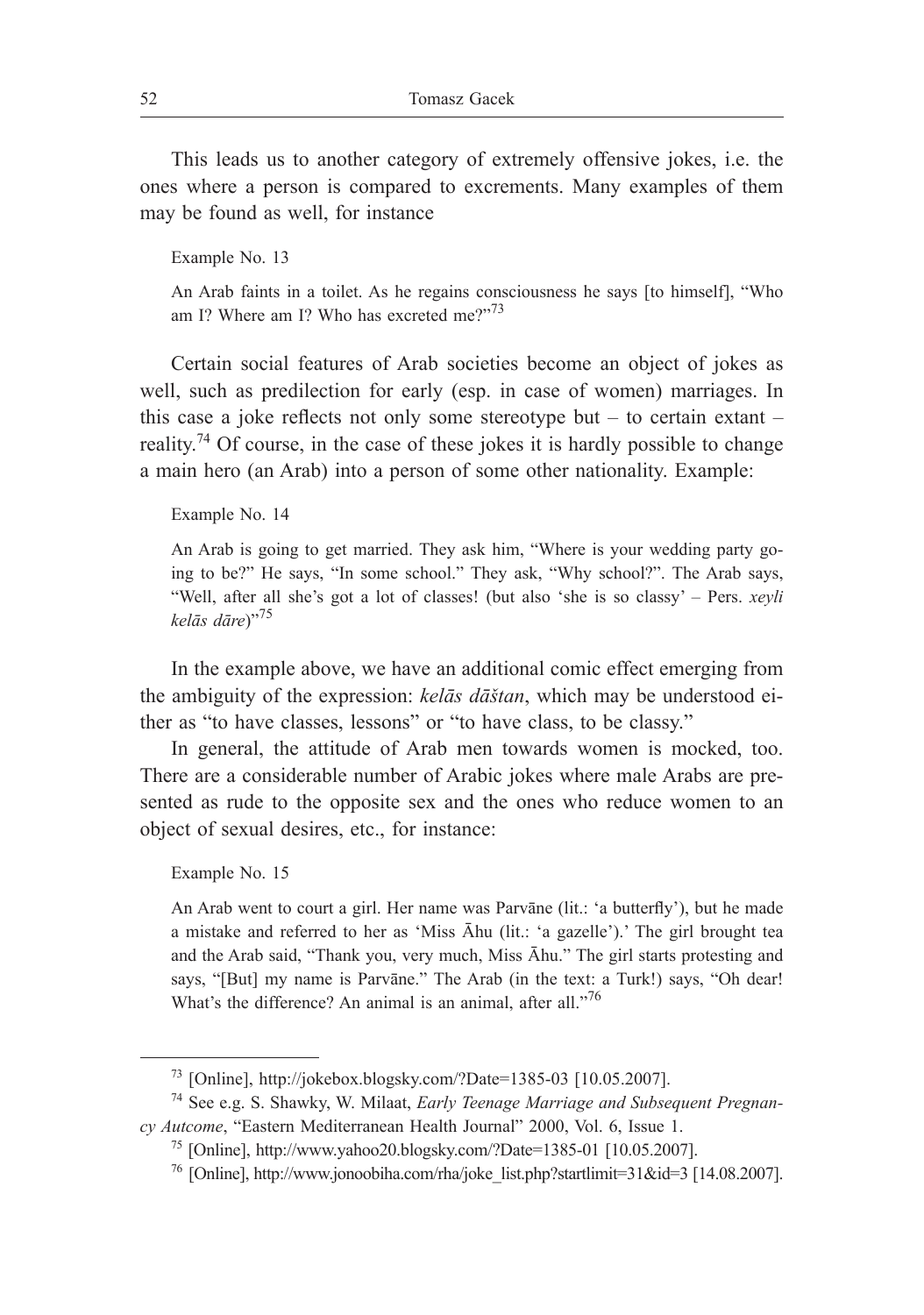This leads us to another category of extremely offensive jokes, i.e. the ones where a person is compared to excrements. Many examples of them may be found as well, for instance

Example No. 13

An Arab faints in a toilet. As he regains consciousness he says [to himself], "Who am I? Where am I? Who has excreted me $2^{n^2}$ 

Certain social features of Arab societies become an object of jokes as well, such as predilection for early (esp. in case of women) marriages. In this case a joke reflects not only some stereotype but – to certain extant – reality.<sup>74</sup> Of course, in the case of these jokes it is hardly possible to change a main hero (an Arab) into a person of some other nationality. Example:

Example No. 14

An Arab is going to get married. They ask him, "Where is your wedding party going to be?" He says, "In some school." They ask, "Why school?". The Arab says, "Well, after all she's got a lot of classes! (but also 'she is so classy' – Pers. *xeyli kelās dāre*)"75

In the example above, we have an additional comic effect emerging from the ambiguity of the expression: *kelās dāštan*, which may be understood either as "to have classes, lessons" or "to have class, to be classy."

In general, the attitude of Arab men towards women is mocked, too. There are a considerable number of Arabic jokes where male Arabs are presented as rude to the opposite sex and the ones who reduce women to an object of sexual desires, etc., for instance:

Example No. 15

An Arab went to court a girl. Her name was Parvāne (lit.: 'a butterfly'), but he made a mistake and referred to her as 'Miss Āhu (lit.: 'a gazelle').' The girl brought tea and the Arab said, "Thank you, very much, Miss Āhu." The girl starts protesting and says, "[But] my name is Parvāne." The Arab (in the text: a Turk!) says, "Oh dear! What's the difference? An animal is an animal, after all."<sup>76</sup>

<sup>73</sup> [Online], http://jokebox.blogsky.com/?Date=1385-03 [10.05.2007].

<sup>74</sup> See e.g. S. Shawky, W. Milaat, *Early Teenage Marriage and Subsequent Pregnancy Autcome*, "Eastern Mediterranean Health Journal" 2000, Vol. 6, Issue 1.

<sup>75</sup> [Online], http://www.yahoo20.blogsky.com/?Date=1385-01 [10.05.2007].

<sup>76</sup> [Online], http://www.jonoobiha.com/rha/joke\_list.php?startlimit=31&id=3 [14.08.2007].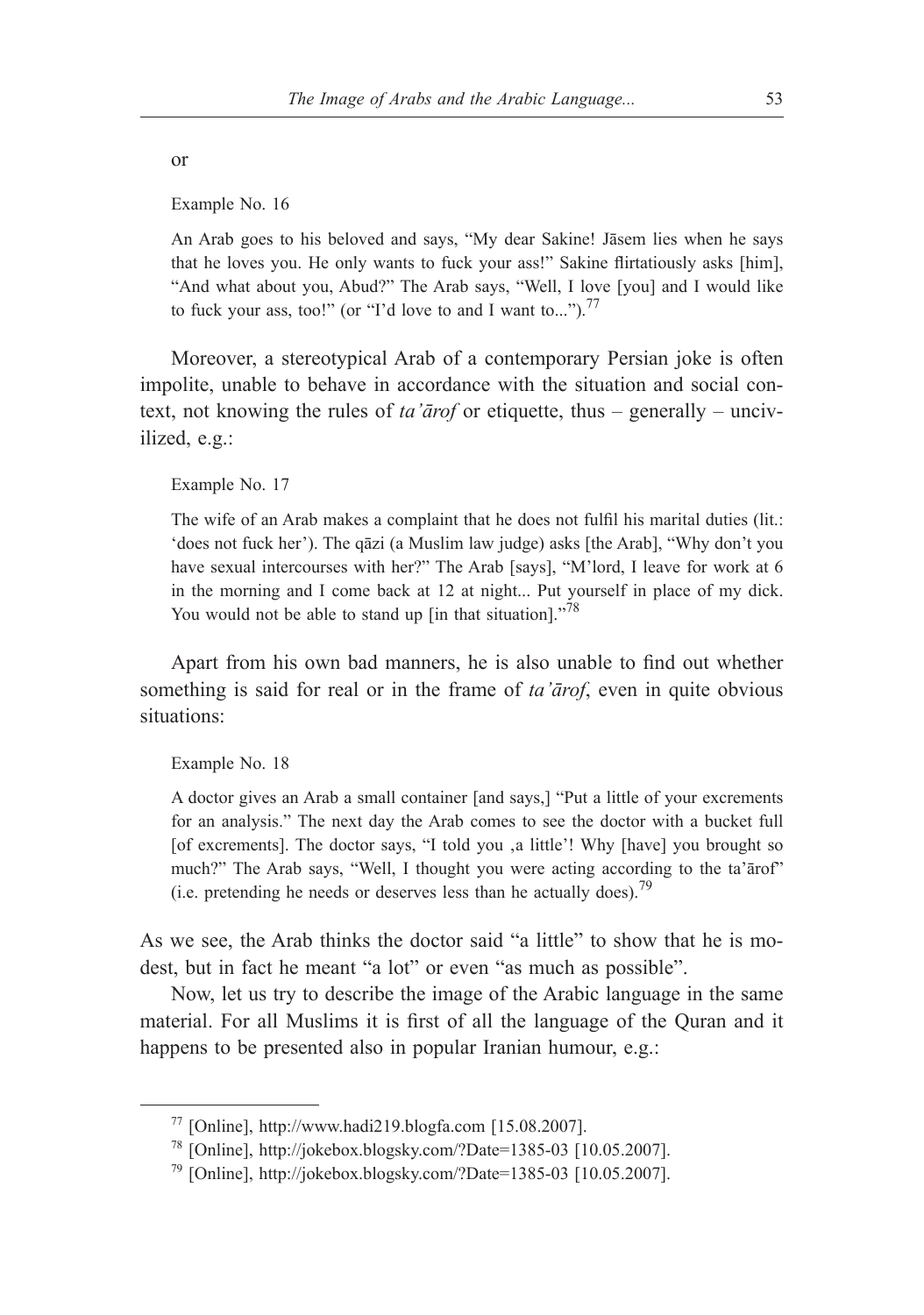or

Example No. 16

An Arab goes to his beloved and says, "My dear Sakine! Jāsem lies when he says that he loves you. He only wants to fuck your ass!" Sakine flirtatiously asks [him], "And what about you, Abud?" The Arab says, "Well, I love [you] and I would like to fuck your ass, too!" (or "I'd love to and I want to...").<sup>77</sup>

Moreover, a stereotypical Arab of a contemporary Persian joke is often impolite, unable to behave in accordance with the situation and social context, not knowing the rules of *ta'ārof* or etiquette, thus – generally – uncivilized, e.g.:

Example No. 17

The wife of an Arab makes a complaint that he does not fulfil his marital duties (lit.: 'does not fuck her'). The qāzi (a Muslim law judge) asks [the Arab], "Why don't you have sexual intercourses with her?" The Arab [says], "M'lord, I leave for work at 6 in the morning and I come back at 12 at night... Put yourself in place of my dick. You would not be able to stand up [in that situation]."<sup>78</sup>

Apart from his own bad manners, he is also unable to find out whether something is said for real or in the frame of *ta'ārof*, even in quite obvious situations:

Example No. 18

A doctor gives an Arab a small container [and says,] "Put a little of your excrements for an analysis." The next day the Arab comes to see the doctor with a bucket full [of excrements]. The doctor says, "I told you ,a little'! Why [have] you brought so much?" The Arab says, "Well, I thought you were acting according to the ta'ārof" (i.e. pretending he needs or deserves less than he actually does).<sup>79</sup>

As we see, the Arab thinks the doctor said "a little" to show that he is modest, but in fact he meant "a lot" or even "as much as possible".

Now, let us try to describe the image of the Arabic language in the same material. For all Muslims it is first of all the language of the Quran and it happens to be presented also in popular Iranian humour, e.g.:

<sup>77</sup> [Online], http://www.hadi219.blogfa.com [15.08.2007].

<sup>78</sup> [Online], http://jokebox.blogsky.com/?Date=1385-03 [10.05.2007].

<sup>79</sup> [Online], http://jokebox.blogsky.com/?Date=1385-03 [10.05.2007].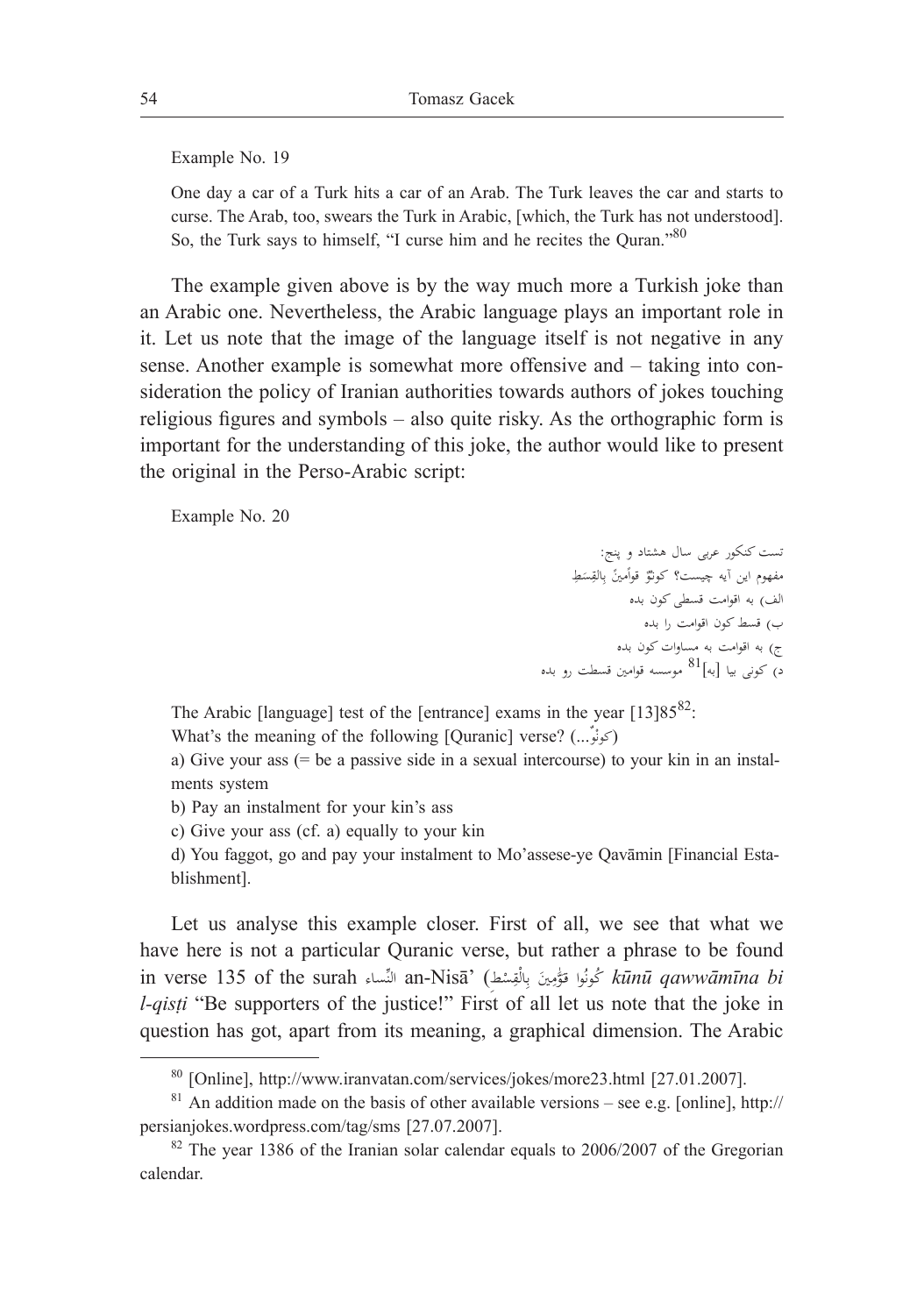Example No. 19

One day a car of a Turk hits a car of an Arab. The Turk leaves the car and starts to curse. The Arab, too, swears the Turk in Arabic, [which, the Turk has not understood]. So, the Turk says to himself, "I curse him and he recites the Quran."<sup>80</sup>

The example given above is by the way much more a Turkish joke than an Arabic one. Nevertheless, the Arabic language plays an important role in it. Let us note that the image of the language itself is not negative in any sense. Another example is somewhat more offensive and – taking into consideration the policy of Iranian authorities towards authors of jokes touching religious figures and symbols – also quite risky. As the orthographic form is important for the understanding of this joke, the author would like to present the original in the Perso-Arabic script:

Example No. 20

تست کنکور عربی سال هشتاد و پنج: مفهوم اين آيه چيست؟ كونٽرْ قواَمينَ بِالقِسَطِ<br>. **∶** ا<sup>ل</sup> الف( به اقوامت قسطی کون بده ب) قسط کون اقوامت را بده ج) به اقوامت به مساوات کون بده د( کونی بيا ]به[81 موسسه قوامني قسطت رو بده

The Arabic [language] test of the [entrance] exams in the year  $[13]85^{82}$ :

What's the meaning of the following [Quranic] verse? (...**ٌ**وْ (كون

a) Give your ass (= be a passive side in a sexual intercourse) to your kin in an instalments system

b) Pay an instalment for your kin's ass

c) Give your ass (cf. a) equally to your kin

d) You faggot, go and pay your instalment to Mo'assese-ye Qavāmin [Financial Establishment].

Let us analyse this example closer. First of all, we see that what we have here is not a particular Quranic verse, but rather a phrase to be found in verse 135 of the surah ساءِّالن an-Nisā' (**ِ**طْ ِس ْق ِال َني ب ََّوٰم ُوا قـ كونُ *kūnū qawwāmīna bi*  ٍ<br>بر *l-qisti* "Be supporters of the justice!" First of all let us note that the joke in question has got, apart from its meaning, a graphical dimension. The Arabic

<sup>80</sup> [Online], http://www.iranvatan.com/services/jokes/more23.html [27.01.2007].

 $81$  An addition made on the basis of other available versions – see e.g. [online], http:// persianjokes.wordpress.com/tag/sms [27.07.2007].

 $82$  The year 1386 of the Iranian solar calendar equals to 2006/2007 of the Gregorian calendar.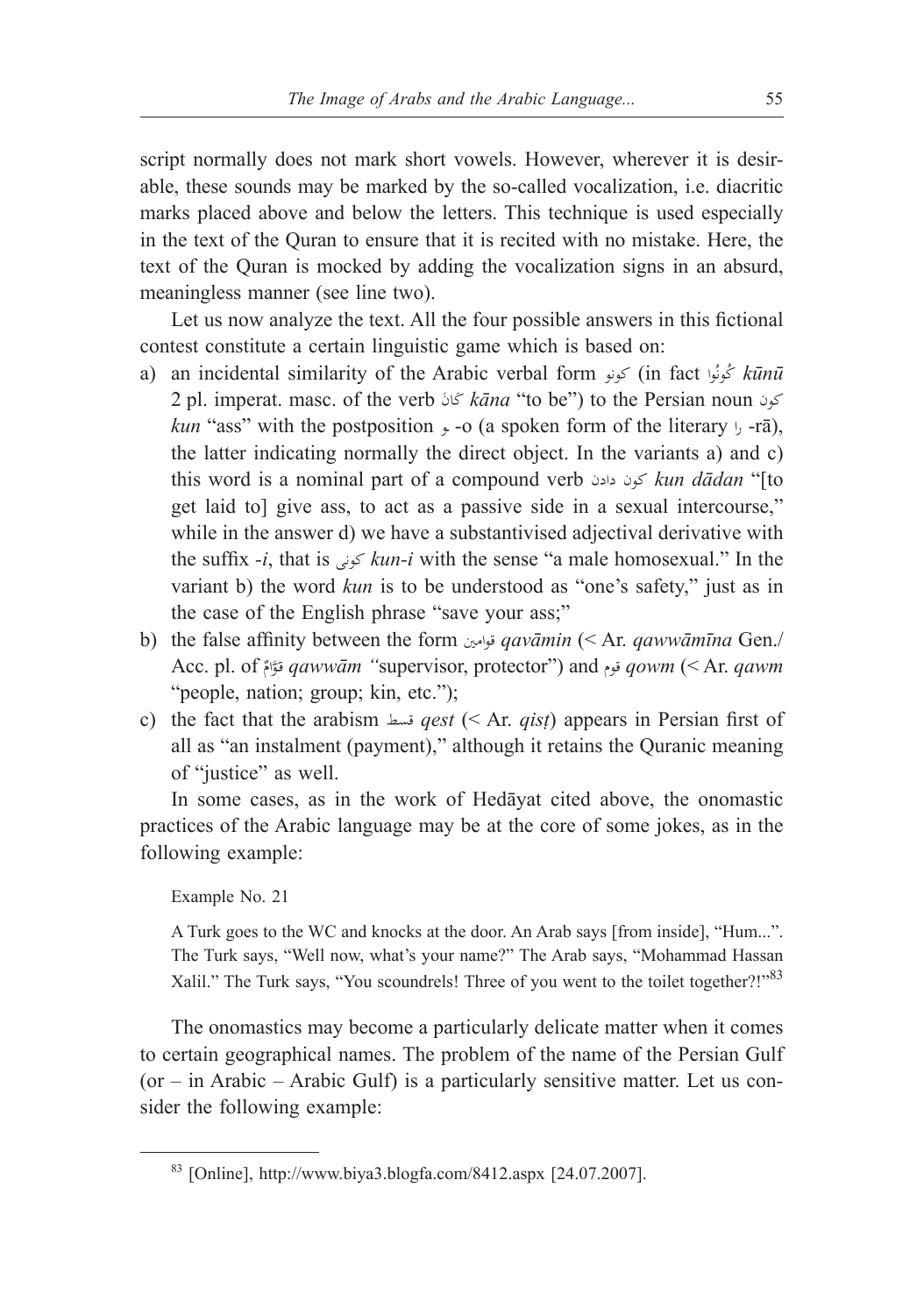script normally does not mark short vowels. However, wherever it is desirable, these sounds may be marked by the so-called vocalization, i.e. diacritic marks placed above and below the letters. This technique is used especially in the text of the Quran to ensure that it is recited with no mistake. Here, the text of the Quran is mocked by adding the vocalization signs in an absurd, meaningless manner (see line two).

Let us now analyze the text. All the four possible answers in this fictional contest constitute a certain linguistic game which is based on:

- a) an incidental similarity of the Arabic verbal form كونو) in fact واُ *kūnū* ُكون 2 pl. imperat. masc. of the verb ان َ كَ *kāna* "to be") to the Persian noun کون *kun* "ass" with the postposition  $\rightarrow$  -o (a spoken form of the literary  $\rightarrow$  -rā), the latter indicating normally the direct object. In the variants a) and c) this word is a nominal part of a compound verb دادن کون *kun dādan* "[to get laid to] give ass, to act as a passive side in a sexual intercourse," while in the answer d) we have a substantivised adjectival derivative with the suffix *-i*, that is کونی *kun-i* with the sense "a male homosexual." In the variant b) the word *kun* is to be understood as "one's safety," just as in the case of the English phrase "save your ass;"
- b) the false affinity between the form قوامني *qavāmin* (< Ar. *qawwāmīna* Gen./ Acc. pl. of ٌ ََّوام قـ *qawwām "*supervisor, protector") and قوم *qowm* (< Ar. *qawm* "people, nation; group; kin, etc.");
- c) the fact that the arabism قسط *qest* (< Ar. *qisṭ*) appears in Persian first of all as "an instalment (payment)," although it retains the Quranic meaning of "justice" as well.

In some cases, as in the work of Hedāyat cited above, the onomastic practices of the Arabic language may be at the core of some jokes, as in the following example:

Example No. 21

A Turk goes to the WC and knocks at the door. An Arab says [from inside], "Hum...". The Turk says, "Well now, what's your name?" The Arab says, "Mohammad Hassan Xalil." The Turk says, "You scoundrels! Three of you went to the toilet together?!"<sup>83</sup>

The onomastics may become a particularly delicate matter when it comes to certain geographical names. The problem of the name of the Persian Gulf (or – in Arabic – Arabic Gulf) is a particularly sensitive matter. Let us consider the following example:

<sup>83</sup> [Online], http://www.biya3.blogfa.com/8412.aspx [24.07.2007].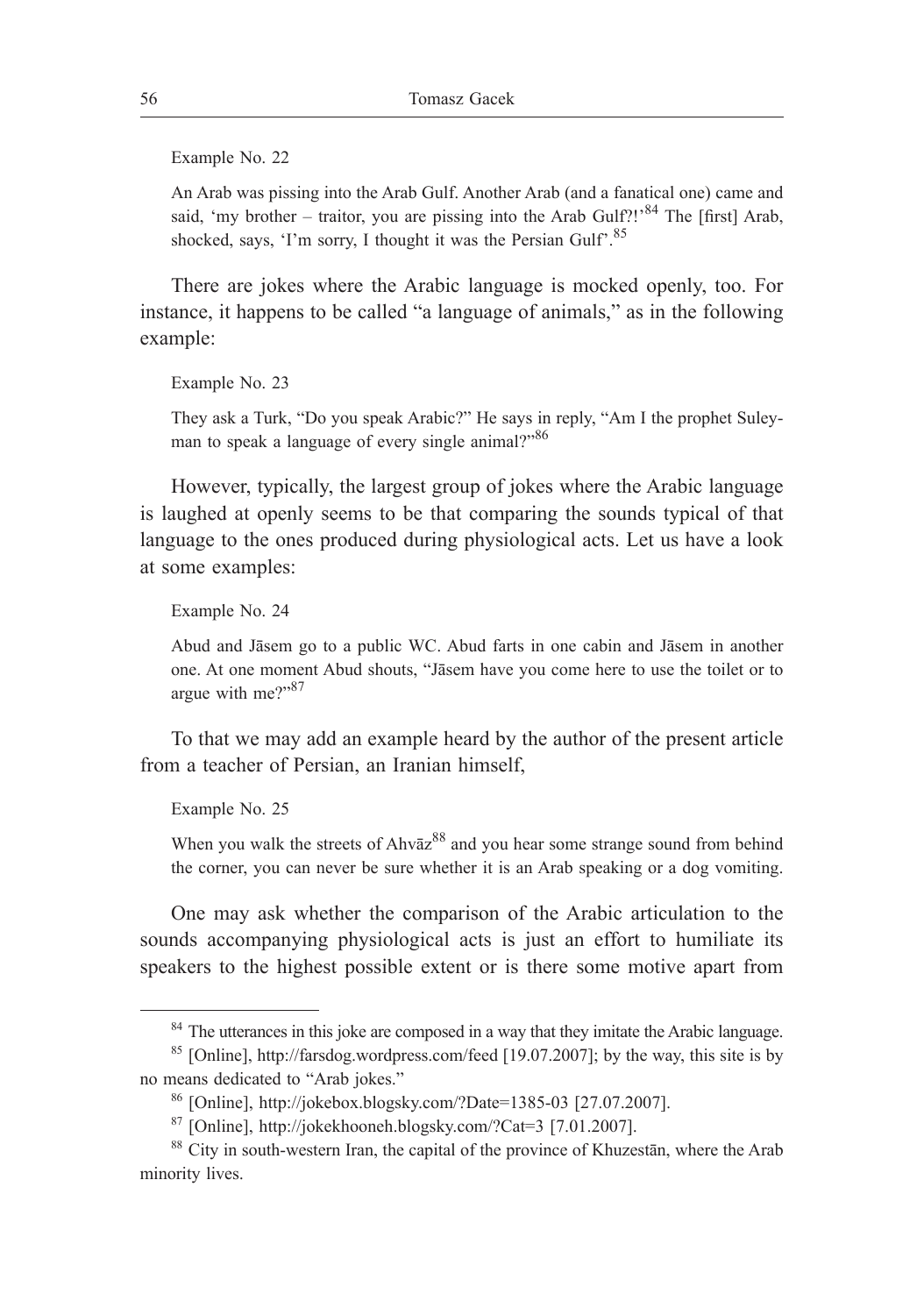Example No. 22

An Arab was pissing into the Arab Gulf. Another Arab (and a fanatical one) came and said, 'my brother – traitor, you are pissing into the Arab Gulf?!'<sup>84</sup> The [first] Arab, shocked, says, 'I'm sorry, I thought it was the Persian Gulf'.<sup>85</sup>

There are jokes where the Arabic language is mocked openly, too. For instance, it happens to be called "a language of animals," as in the following example:

Example No. 23

They ask a Turk, "Do you speak Arabic?" He says in reply, "Am I the prophet Suleyman to speak a language of every single animal?"<sup>86</sup>

However, typically, the largest group of jokes where the Arabic language is laughed at openly seems to be that comparing the sounds typical of that language to the ones produced during physiological acts. Let us have a look at some examples:

Example No. 24

Abud and Jāsem go to a public WC. Abud farts in one cabin and Jāsem in another one. At one moment Abud shouts, "Jāsem have you come here to use the toilet or to argue with me?"87

To that we may add an example heard by the author of the present article from a teacher of Persian, an Iranian himself,

Example No. 25

When you walk the streets of  $A$ hv $\bar{a}z^{88}$  and you hear some strange sound from behind the corner, you can never be sure whether it is an Arab speaking or a dog vomiting.

One may ask whether the comparison of the Arabic articulation to the sounds accompanying physiological acts is just an effort to humiliate its speakers to the highest possible extent or is there some motive apart from

<sup>&</sup>lt;sup>84</sup> The utterances in this joke are composed in a way that they imitate the Arabic language.

<sup>85</sup> [Online], http://farsdog.wordpress.com/feed [19.07.2007]; by the way, this site is by no means dedicated to "Arab jokes."

<sup>86</sup> [Online], http://jokebox.blogsky.com/?Date=1385-03 [27.07.2007].

<sup>87</sup> [Online], http://jokekhooneh.blogsky.com/?Cat=3 [7.01.2007].

<sup>88</sup> City in south-western Iran, the capital of the province of Khuzestān, where the Arab minority lives.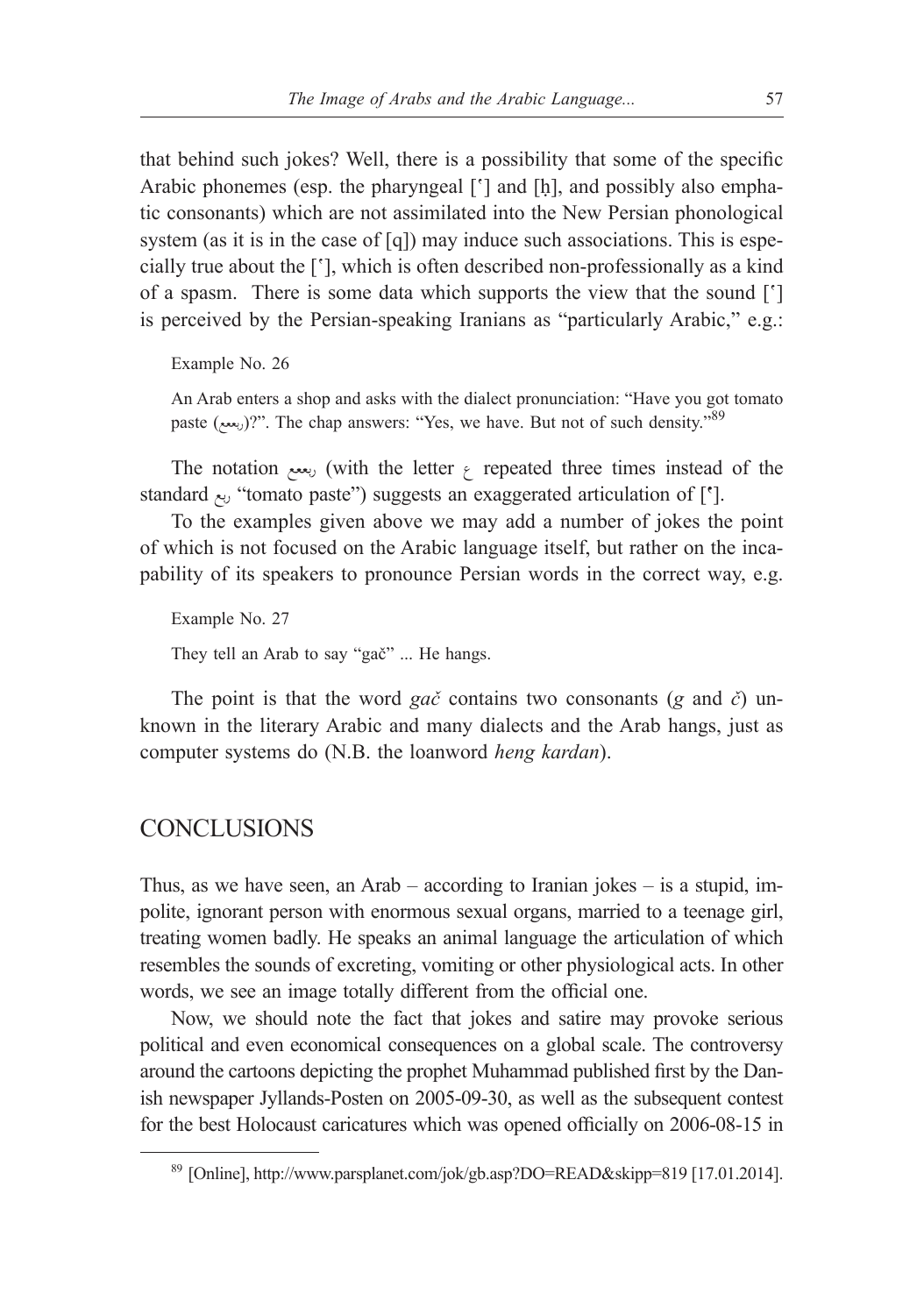that behind such jokes? Well, there is a possibility that some of the specific Arabic phonemes (esp. the pharyngeal ['] and [h], and possibly also emphatic consonants) which are not assimilated into the New Persian phonological system (as it is in the case of [q]) may induce such associations. This is especially true about the ['], which is often described non-professionally as a kind of a spasm. There is some data which supports the view that the sound ['] is perceived by the Persian-speaking Iranians as "particularly Arabic," e.g.:

Example No. 26

An Arab enters a shop and asks with the dialect pronunciation: "Have you got tomato paste (ربعع)?". The chap answers: "Yes, we have. But not of such density."  $89$ 

The notation  $\mu$ , with the letter  $\gamma$  repeated three times instead of the standard ربع" tomato paste") suggests an exaggerated articulation of [**'**].

To the examples given above we may add a number of jokes the point of which is not focused on the Arabic language itself, but rather on the incapability of its speakers to pronounce Persian words in the correct way, e.g.

Example No. 27 They tell an Arab to say "gač" ... He hangs.

The point is that the word *gač* contains two consonants (*g* and *č*) unknown in the literary Arabic and many dialects and the Arab hangs, just as computer systems do (N.B. the loanword *heng kardan*).

#### CONCLUSIONS

Thus, as we have seen, an Arab – according to Iranian jokes – is a stupid, impolite, ignorant person with enormous sexual organs, married to a teenage girl, treating women badly. He speaks an animal language the articulation of which resembles the sounds of excreting, vomiting or other physiological acts. In other words, we see an image totally different from the official one.

Now, we should note the fact that jokes and satire may provoke serious political and even economical consequences on a global scale. The controversy around the cartoons depicting the prophet Muhammad published first by the Danish newspaper Jyllands-Posten on 2005-09-30, as well as the subsequent contest for the best Holocaust caricatures which was opened officially on 2006-08-15 in

<sup>89</sup> [Online], http://www.parsplanet.com/jok/gb.asp?DO=READ&skipp=819 [17.01.2014].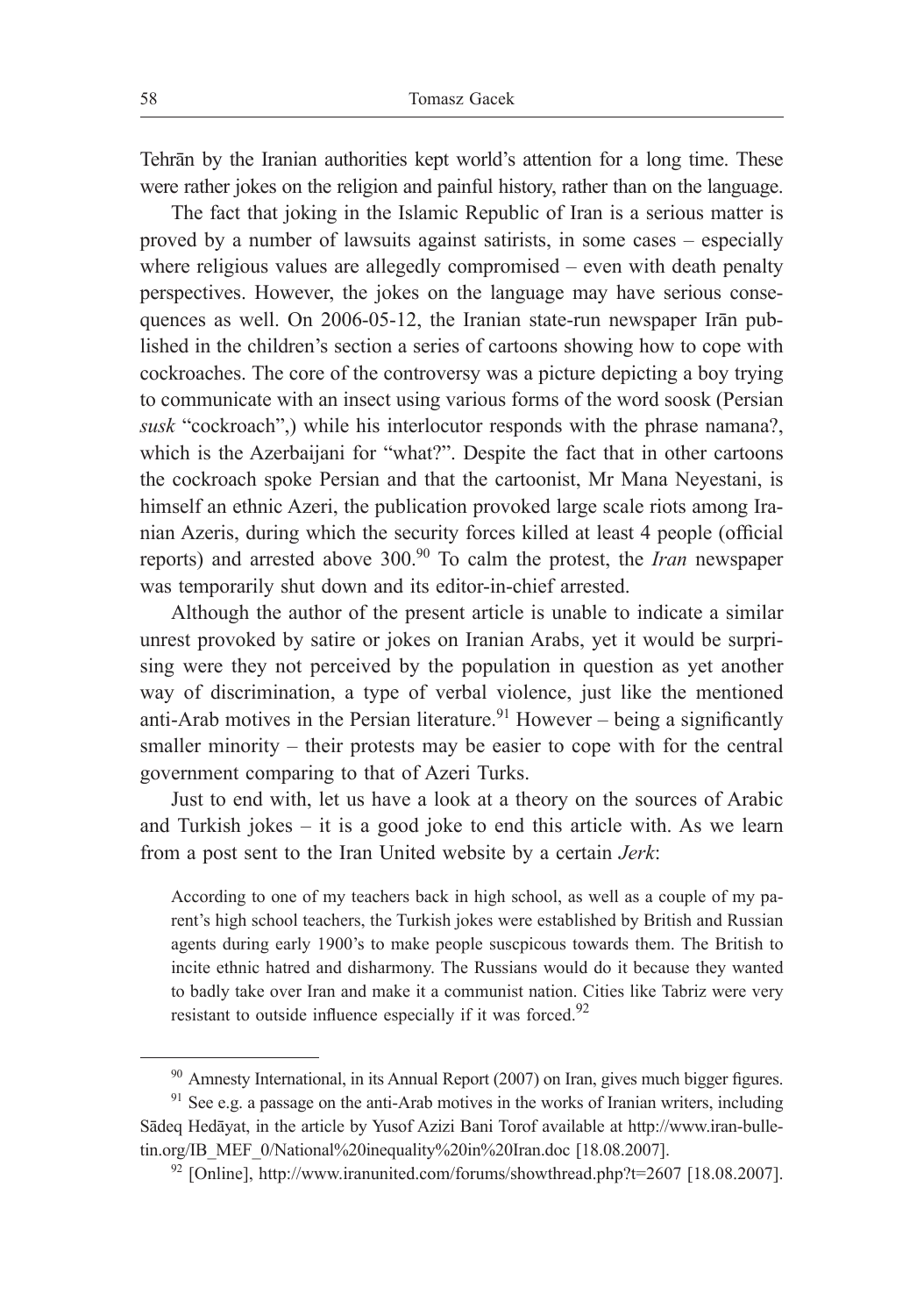Tehrān by the Iranian authorities kept world's attention for a long time. These were rather jokes on the religion and painful history, rather than on the language.

The fact that joking in the Islamic Republic of Iran is a serious matter is proved by a number of lawsuits against satirists, in some cases – especially where religious values are allegedly compromised – even with death penalty perspectives. However, the jokes on the language may have serious consequences as well. On 2006-05-12, the Iranian state-run newspaper Irān published in the children's section a series of cartoons showing how to cope with cockroaches. The core of the controversy was a picture depicting a boy trying to communicate with an insect using various forms of the word soosk (Persian *susk* "cockroach",) while his interlocutor responds with the phrase namana?, which is the Azerbaijani for "what?". Despite the fact that in other cartoons the cockroach spoke Persian and that the cartoonist, Mr Mana Neyestani, is himself an ethnic Azeri, the publication provoked large scale riots among Iranian Azeris, during which the security forces killed at least 4 people (official reports) and arrested above 300.90 To calm the protest, the *Iran* newspaper was temporarily shut down and its editor-in-chief arrested.

Although the author of the present article is unable to indicate a similar unrest provoked by satire or jokes on Iranian Arabs, yet it would be surprising were they not perceived by the population in question as yet another way of discrimination, a type of verbal violence, just like the mentioned anti-Arab motives in the Persian literature.<sup>91</sup> However – being a significantly smaller minority – their protests may be easier to cope with for the central government comparing to that of Azeri Turks.

Just to end with, let us have a look at a theory on the sources of Arabic and Turkish jokes – it is a good joke to end this article with. As we learn from a post sent to the Iran United website by a certain *Jerk*:

According to one of my teachers back in high school, as well as a couple of my parent's high school teachers, the Turkish jokes were established by British and Russian agents during early 1900's to make people suscpicous towards them. The British to incite ethnic hatred and disharmony. The Russians would do it because they wanted to badly take over Iran and make it a communist nation. Cities like Tabriz were very resistant to outside influence especially if it was forced. $92$ 

<sup>90</sup> Amnesty International, in its Annual Report (2007) on Iran, gives much bigger figures.

<sup>&</sup>lt;sup>91</sup> See e.g. a passage on the anti-Arab motives in the works of Iranian writers, including Sādeq Hedāyat, in the article by Yusof Azizi Bani Torof available at http://www.iran-bulletin.org/IB\_MEF\_0/National%20inequality%20in%20Iran.doc [18.08.2007].

 $92$  [Online], http://www.iranunited.com/forums/showthread.php?t=2607 [18.08.2007].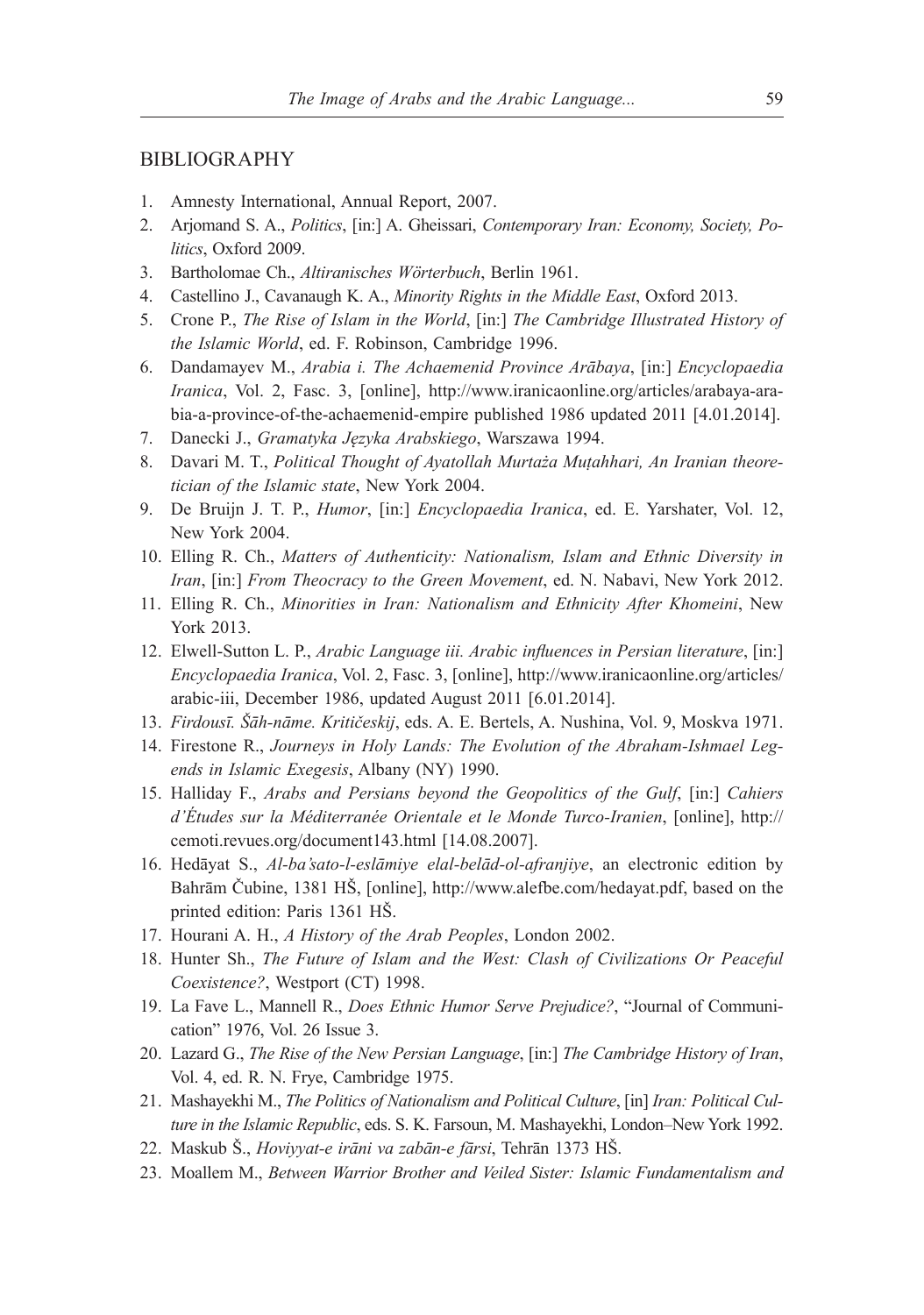#### BIBLIOGRAPHY

- 1. Amnesty International, Annual Report, 2007.
- 2. Arjomand S. A., *Politics*, [in:] A. Gheissari, *Contemporary Iran: Economy, Society, Politics*, Oxford 2009.
- 3. Bartholomae Ch., *Altiranisches Wörterbuch*, Berlin 1961.
- 4. Castellino J., Cavanaugh K. A., *Minority Rights in the Middle East*, Oxford 2013.
- 5. Crone P., *The Rise of Islam in the World*, [in:] *The Cambridge Illustrated History of the Islamic World*, ed. F. Robinson, Cambridge 1996.
- 6. Dandamayev M., *Arabia i. The Achaemenid Province Arābaya*, [in:] *Encyclopaedia Iranica*, Vol. 2, Fasc. 3, [online], http://www.iranicaonline.org/articles/arabaya-arabia-a-province-of-the-achaemenid-empire published 1986 updated 2011 [4.01.2014].
- 7. Danecki J., *Gramatyka Języka Arabskiego*, Warszawa 1994.
- 8. Davari M. T., *Political Thought of Ayatollah Murtaża Muṭahhari, An Iranian theoretician of the Islamic state*, New York 2004.
- 9. De Bruijn J. T. P., *Humor*, [in:] *Encyclopaedia Iranica*, ed. E. Yarshater, Vol. 12, New York 2004.
- 10. Elling R. Ch., *Matters of Authenticity: Nationalism, Islam and Ethnic Diversity in Iran*, [in:] *From Theocracy to the Green Movement*, ed. N. Nabavi, New York 2012.
- 11. Elling R. Ch., *Minorities in Iran: Nationalism and Ethnicity After Khomeini*, New York 2013.
- 12. Elwell-Sutton L. P., *Arabic Language iii. Arabic influences in Persian literature*, [in:] *Encyclopaedia Iranica*, Vol. 2, Fasc. 3, [online], http://www.iranicaonline.org/articles/ arabic-iii, December 1986, updated August 2011 [6.01.2014].
- 13. *Firdousī. Šāh-nāme. Kritičeskij*, eds. A. E. Bertels, A. Nushina, Vol. 9, Moskva 1971.
- 14. Firestone R., *Journeys in Holy Lands: The Evolution of the Abraham-Ishmael Legends in Islamic Exegesis*, Albany (NY) 1990.
- 15. Halliday F., *Arabs and Persians beyond the Geopolitics of the Gulf*, [in:] *Cahiers d'Études sur la Méditerranée Orientale et le Monde Turco-Iranien*, [online], http:// cemoti.revues.org/document143.html [14.08.2007].
- 16. Hedāyat S., *Al-ba'sato-l-eslāmiye elal-belād-ol-afranjiye*, an electronic edition by Bahrām Čubine, 1381 HŠ, [online], http://www.alefbe.com/hedayat.pdf, based on the printed edition: Paris 1361 HŠ.
- 17. Hourani A. H., *A History of the Arab Peoples*, London 2002.
- 18. Hunter Sh., *The Future of Islam and the West: Clash of Civilizations Or Peaceful Coexistence?*, Westport (CT) 1998.
- 19. La Fave L., Mannell R., *Does Ethnic Humor Serve Prejudice?*, "Journal of Communication" 1976, Vol. 26 Issue 3.
- 20. Lazard G., *The Rise of the New Persian Language*, [in:] *The Cambridge History of Iran*, Vol. 4, ed. R. N. Frye, Cambridge 1975.
- 21. Mashayekhi M., *The Politics of Nationalism and Political Culture*, [in] *Iran: Political Culture in the Islamic Republic*, eds. S. K. Farsoun, M. Mashayekhi, London–New York 1992.
- 22. Maskub Š., *Hoviyyat-e irāni va zabān-e fārsi*, Tehrān 1373 HŠ.
- 23. Moallem M., *Between Warrior Brother and Veiled Sister: Islamic Fundamentalism and*